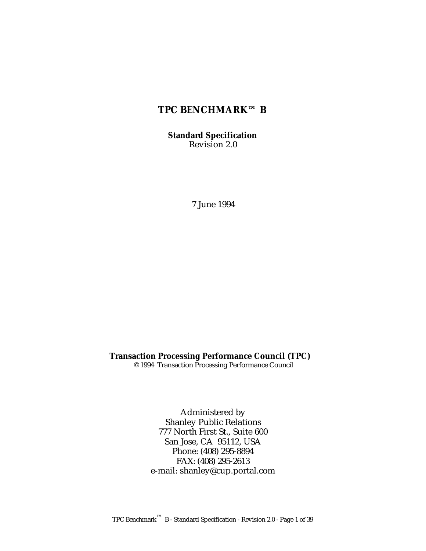## **TPC BENCHMARK™ B**

**Standard Specification** Revision 2.0

7 June 1991

**Transaction Processing Performance Council (TPC)** © 1994 Transaction Processing Performance Council

> Administered by<br>Shanley Public Relations 777 North First St., Suite 600 San Jose, CA 95112, USA Phone: (408) 295-8894 FAX: (408) 295-2613  $\frac{1}{11}$  $\epsilon$ -mail:  $\epsilon$ hanley  $\epsilon$  cup.portan.com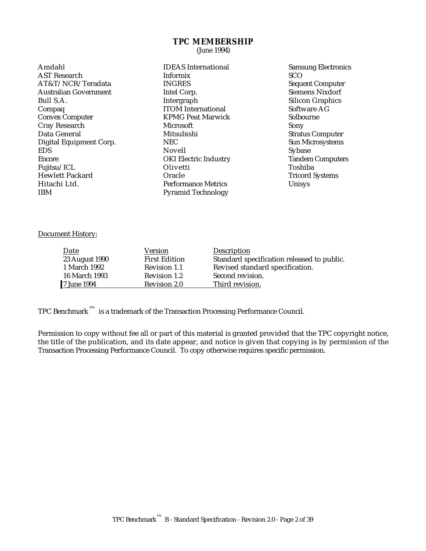# **TPC MEMBERSHIP**

 $(94.10 \t{1001})$ 

Amdahl **AST Research** AT&T/NCR/Teradata Australian Government Bull S.A. Compaq Convex Computer Cray Research Data General Data General<br>Digital Fauin Digital Equipment Corp. EDS<br>Encore Fuiitsu/ICL Hewlett Packard Hitachi Ltd. IBM  $\mathbf{I}_{\mathbf{B}}$ 

**IDEAS** International Informix **INGRES** Intel Corp. Intergraph **ITOM** International **KPMG Peat Marwick** Microsoft Mitsubishi NEC. Novell OKI Electric Industry Olivetti Oracle Performance Metrics Performance Metrics<br>Performid Tochnology Pyramid Technology

Samsung Electronics Sequent Computer Siemens Nixdorf Silicon Graphics Software  $\overline{AG}$ Solbourne Sony Stratus Computer Sun Microsystems Sybase Tandem Computers Toshiba **Tricord Systems** Tricord Systems Unisys

#### Document History:

| Date           | Version              | <b>Description</b>                         |
|----------------|----------------------|--------------------------------------------|
| 23 August 1990 | <b>First Edition</b> | Standard specification released to public. |
| 1 March 1992   | Revision 1.1         | Revised standard specification.            |
| 16 March 1993  | Revision 1.2         | Second revision.                           |
| 7 June 1994    | Revision 2.0         | Third revision.                            |
|                |                      |                                            |

TPC Benchmark<sup>™</sup> is a trademark of the Transaction Processing Performance Council.

Permission to copy without fee all or part of this material is granted provided that the TPC copyright notice, the title of the publication, and its date appear, and notice is given that copying is by permission of the the title of the publication, and its date appear, and notice is given that copying is by permission of the publication, and its date appear, and notice is given that copying is by permission. Transaction Processing Performance Council. To copy otherwise requires specific permission.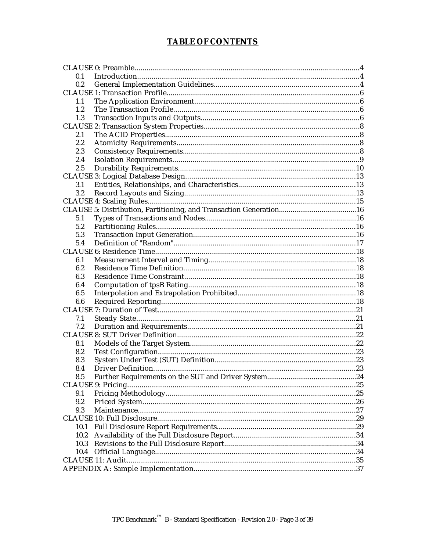### **TABLE OF CONTENTS**

| 0.1  |  |
|------|--|
| 0.2  |  |
|      |  |
| 1.1  |  |
| 1.2  |  |
| 1.3  |  |
|      |  |
| 2.1  |  |
| 2.2  |  |
| 2.3  |  |
| 2.4  |  |
| 2.5  |  |
|      |  |
| 3.1  |  |
| 3.2  |  |
|      |  |
|      |  |
| 5.1  |  |
| 5.2  |  |
| 5.3  |  |
| 5.4  |  |
|      |  |
| 6.1  |  |
| 6.2  |  |
| 6.3  |  |
| 6.4  |  |
| 6.5  |  |
| 6.6  |  |
|      |  |
| 7.1  |  |
| 7.2  |  |
|      |  |
| 8.1  |  |
| 8.2  |  |
| 8.3  |  |
| 8.4  |  |
| 8.5  |  |
|      |  |
| 9.1  |  |
| 9.2  |  |
| 9.3  |  |
|      |  |
| 10.1 |  |
| 10.2 |  |
| 10.3 |  |
|      |  |
| 10.4 |  |
|      |  |
|      |  |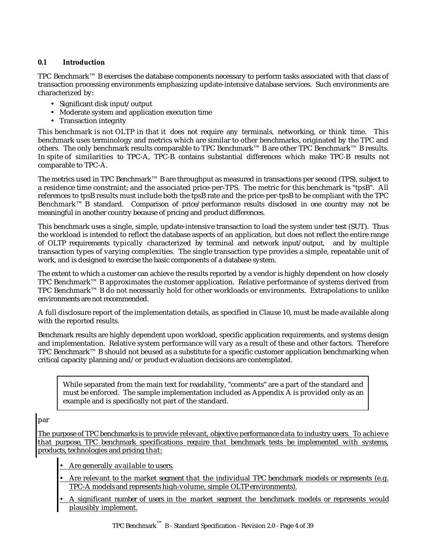#### **0.1 Introduction**

 $T_{\rm F}$  exercises the database components associated with the database components associated with the database components are  $\frac{1}{2}$  and  $\frac{1}{2}$  and  $\frac{1}{2}$  and  $\frac{1}{2}$  and  $\frac{1}{2}$  and  $\frac{1}{2}$  and  $\frac{1}{2}$  transaction processing environments emphasizing update-intensive database services. Such environments are characterized by:<br>• Significant disk input/output

- 
- Moderate system and application execution time
- Transaction integrity

This benchmark is not OLTP in that it does not require any terminals, networking, or think time. This benchmark uses terminology and metrics which are similar to other benchmarks, originated by the TPC and others. The only benchmark results comparable to TPC Benchmark<sup>TM</sup> B are other TPC Benchmark<sup>TM</sup> B results.  $\overline{\text{S}}$  only benchmark results comparable to TPC Benchmark  $\overline{\text{S}}$  are other TPC Benchmark  $\overline{\text{S}}$  results. TPC Benchmark  $\overline{\text{S}}$  results and  $\overline{\text{S}}$  results. In spite of similarities to  $T \cup T$ ,  $T \cup D$  contains substantial differences which make  $T \cup D$  results not comparable to TPC-A.

The metrics used in TPC Benchmark™ B are throughput as measured in transactions per second (TPS), subject to a residence time constraint; and the associated price-per-TPS. The metric for this benchmark is "tpsB". All references to tpsB results must include both the tpsB rate and the price-per-tpsB to be compliant with the TPC Benchmark<sup>TM</sup> B standard. Comparison of price/performance results disclosed in one country may not be  $B_{\text{nonlinear}}$  benchmark  $B_{\text{nonlinear}}$  standard. Comparison of price  $\frac{1}{2}$  and product differences meaningful in another country because of pricing and product differences.

This benchmark uses a single, simple, update-intensive transaction to load the system under test (SUT). Thus the workload is intended to reflect the database aspects of an application, but does not reflect the entire range of OLTP requirements typically characterized by terminal and network input/output, and by multiple transaction types of varying complexities. The single transaction type provides a simple, repeatable unit of  $t_{\rm max}$  and is designed to every input complements of transaction type  $t_{\rm max}$  and  $t_{\rm max}$  and is designed to everying the hasic components of a database system. work, and is designed to exercise the basic components or a database system.

The extent to which a customer can achieve the results reported by a vendor is highly dependent on how closely TPC Benchmark<sup> $M$ </sup> B approximates the customer application. Relative performance of systems derived from TPC Benchmark™ B do not necessarily hold for other workloads or environments. Extrapolations to unlike environments are not recommended. environments are not recommended.

A full disclosure report of the implementation details, as specified in Clause 10, must be made available along with the reported results.

Benchmark results are highly dependent upon workload, specific application requirements, and systems design<br>and implementation. Relative system performance will vary as a result of these and other factors. Therefore TPC Benchmark™ B should not beused as a substitute for a specific customer application benchmarking when  $T_{\rm p}$  showled as a substitute for a substitute for a substitute for a specific customer application benchmark  $T_{\rm p}$  when critical capacity planning and/or product evaluation decisions are contemplated.

While separated from the main text for readability, "comments" are a part of the standard and<br>must be enforced. The sample implementation included as Appendix A is provided only as an  $\mu$ ust be enforced. The sample implementation included as Appendix A is provided only as an example and is specifically not part of the standard.

par

The purpose of TPC benchmarks is to provide relevant, objective performance data to industry users. To achieve<br>that purpose, TPC benchmark specifications require that benchmark tests be implemented with systems, that purpose, TPC benchmark specifications require that performant tests be implemented with systems, products, technologies and pricing that:

- Are generally available to users.<br>Are relevant to the market segment that the individual TPC benchmark models or represents (e.g. TPC-A models and represents high-volume, simple OLTP environments).
- A significant number of users in the market segment the benchmark models or represents would plausibly implement. plausibly implement.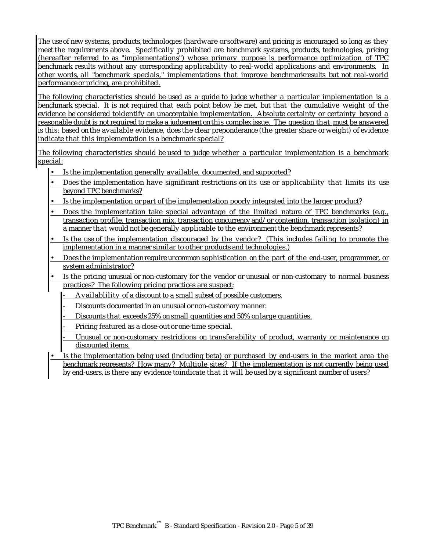The use of new systems, products, technologies (hardware or software) and pricing is encouraged so long as they<br>meet the requirements above. Specifically prohibited are benchmark systems, products, technologies, pricing (hereafter referred to as "implementations") whose primary purpose is performance optimization of TPC benchmark results without any corresponding applicability to real-world applications and environments. In other words, all "benchmark specials," implementations that improve benchmarkresults but not real-world other words, all "benchmark specials," implementations that improve benchmarkresults but not real-world performance or pricing, are prohibited.

The following characteristics should be used as a guide to judge whether a particular implementation is a<br>benchmark special. It is not required that each point below be met, but that the cumulative weight of the evidence be considered toidentify an unacceptable implementation. Absolute certainty or certainty beyond a reasonable doubt is not required to make a judgement on this complex issue. The question that must be answered is this: based on the available evidence, does the clear preponderance (the greater share or weight) of evidence  $\frac{1}{100}$  is the available evidence, does the contract preponderance (the greater share or weight) or evidence indicate that this implementation is a benchmark special?

 The following characteristics should be used to judge whether a particular implementation is a benchmark special:<br>• Is the implementation generally available, documented, and supported?

- 
- Is the implementation generally available, documented, and supported?  $\frac{1}{\sqrt{2}}$  bound TDC honchmarks? beyond TPC benchmarks?<br>begins to the implementation or part of the implementation poorly integrated into the larger product?
- 
- Does the implementation take special advantage of the limited nature of TPC benchmarks (e.g., transaction profile, transaction mix, transaction concurrency and/or contention, transaction isolation) in a manner that would not be generally applicable to the environment the benchmark represents?
- Is the use of the implementation discouraged by the vendor? (This includes failing to promote the implementation in a manner similar to other products and technologies.) implementation in a manner similar to other products and technologies.)
- Does the implementatio n require uncommon sophistication on the part of the end-user, programmer, or system administrator?<br>Is the pricing unusual or non-customary for the vendor or unusual or non-customary to normal business
- practices? The following pricing practices are suspect:
	- Availablility of a discount to a small subset of possible customers.
	- Discounts documented in an unusual or non-customary manner.
	- Discounts that exceeds 25% on small quantities and 50% on large quantities.
	- Pricing featured as a close-out or one-time special.
	- Pricing featured as a close-out or one -time special. - Unusual or non-customary restrictions on transferability of product, warranty or maintenance on discounted items.<br>Is the implementation being used (including beta) or purchased by end-users in the market area the
- benchmark represents? How many? Multiple sites? If the implementation is not currently being used  $\frac{1}{\sqrt{1-\frac{1}{\sqrt{1-\frac{1}{\sqrt{1-\frac{1}{\sqrt{1-\frac{1}{\sqrt{1-\frac{1}{\sqrt{1-\frac{1}{\sqrt{1-\frac{1}{\sqrt{1-\frac{1}{\sqrt{1-\frac{1}{\sqrt{1-\frac{1}{\sqrt{1-\frac{1}{\sqrt{1-\frac{1}{\sqrt{1-\frac{1}{\sqrt{1-\frac{1}{\sqrt{1-\frac{1}{\sqrt{1-\frac{1}{\sqrt{1-\frac{1}{\sqrt{1-\frac{1}{\sqrt{1-\frac{1}{\sqrt{1-\frac{1}{\sqrt{1-\frac{1}{\sqrt{1-\frac{1}{\sqrt{1-\frac{1}{\sqrt{1-\frac{1$ by end-users, is there any evidence toindicate that it will be used by a significant number of users?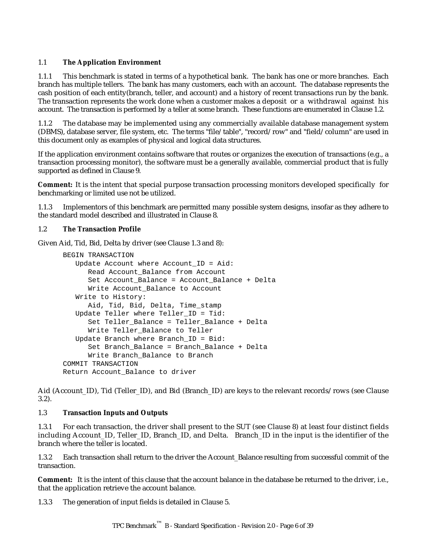#### 1.1 **The Application Environment**

1.1.1 This benchmark is stated in terms of a hypothetical bank. The bank has one or more branches. Each<br>branch has multiple tellers. The bank has many customers, each with an account. The database represents the cash position of each entity (branch, teller, and account) and a history of recent transactions run by the bank. The transaction represents the work done when a customer makes a deposit or a withdrawal against his The transaction represents the work down  $\frac{1}{2}$  and  $\frac{1}{2}$  and  $\frac{1}{2}$  are  $\frac{1}{2}$  and  $\frac{1}{2}$  and  $\frac{1}{2}$  and  $\frac{1}{2}$  and  $\frac{1}{2}$  and  $\frac{1}{2}$  and  $\frac{1}{2}$  and  $\frac{1}{2}$  and  $\frac{1}{2}$  and  $\frac{1}{2}$  an account. The transaction is performed by a teller at some branch. These functions are enumerated in Clause 1.2.

1.1.2 The database may be implemented using any commercially available database management system<br>(DBMS), database server, file system, etc. The terms "file/table", "record/row" and "field/column" are used in  $\langle DEDM \rangle$ , database server, file system, etc. The terms "file", "record/row" and "field/column" are used in this document only as examples of physical and logical data structures.

If the application environment contains software that routes or organizes the execution of transactions (e.g., a<br>transaction processing monitor), the software must be a generally available, commercial product that is fully transaction processing monitor), the software must be a generally available, commercial product that is fully supported as defined in Clause 9.

**Comment:** It is the intent that special purpose transaction processing monitors developed specifically for benchmarking or limited use not be utilized.

1.1.3 Implementors of this benchmark are permitted many possible system designs, insofar as they adhere to the standard model described and illustrated in Clause 8. the standard model described and illustrated in Clause 8.

#### 1.2 **The Transaction Profile**

Given Aid, Tid, Bid, Delta by driver (see Clause 1.3 and 8):

```
BEGIN TRANSACTION
   Update Account where Account_ID = Aid:
      Read Account_Balance from Account
      Set Account Balance = Account Balance + Delta
      Write Account Balance to Account
   Write to History:
      Aid, Tid, Bid, Delta, Time_stamp
   Update Teller where Teller_ID = Tid:
      Set Teller Balance = Teller Balance + Delta
      Write Teller Balance to Teller
   Update Branch where Branch_ID = Bid:
      Set Branch Balance = Branch Balance + Delta
      Write Branch Balance to Branch
COMMIT TRANSACTION
Return Account_Balance to driver
```
Aid (Account\_ID), Tid (Teller\_ID), and Bid (Branch\_ID) are keys to the relevant records/rows (see Clause 3.2).

#### 1.3 **Transaction Inputs and Outputs**

 $\frac{1}{3}$  for each transaction, the driver shall present to the SUT (see Clause 8) at least  $\frac{1}{3}$  for  $\frac{1}{3}$  for  $\frac{1}{3}$  for  $\frac{1}{3}$  for  $\frac{1}{3}$  for  $\frac{1}{3}$  for  $\frac{1}{3}$  for  $\frac{1}{3}$  for  $\frac{1}{3}$  for  $\frac$ including Account\_ID, Teller, Branch\_ID, and Delta. Branch\_ID in the input is the identifier of the<br>hranch where the teller is located branch where the teller is located.

1.3.2 Each transaction shall return to the driver the Account\_Balance resulting from successful commit of the 132 transaction.

**Comment:** It is the intent of this clause that the account balance in the database be returned to the driver, i.e., that the application retrieve the account balance.

1.3.3 The generation of input fields is detailed in Clause 5.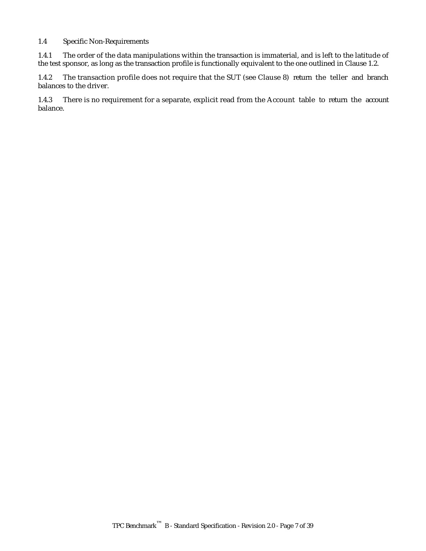1.4 Specific Non-Requirements<br>1.4.1 The order of the data manipulations within the transaction is immaterial, and is left to the latitude of  $1.1$  The order of the data manipulations with  $\frac{1}{2}$  the data manipulation is immediated of the data manipulation is  $\frac{1}{2}$ the test sponsor, as long as the transaction profile is functionally equivalent to the one outlined in Clause 1.2.

1.4.2 The transaction profile does not require that the SUT (see Clause 8) return the teller and branch balances to the driver.

1.4.3 There is no requirement for a separate, explicit read from the Account table to return the account balance.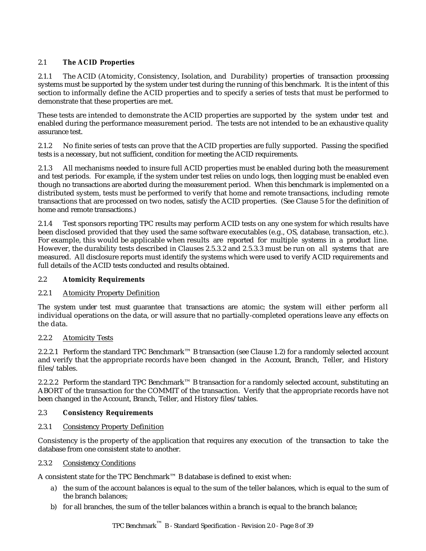#### 2.1 **The ACID Properties**

2.1.1 The ACID (Atomicity, Consistency, Isolation, and Durability) properties of transaction processing systems must be supported by the system under test during the running of this benchmark. It is the intent of this section to informally define the ACID properties and to specify a series of tests that must be performed to section to informally define the ACID properties and to specify a series of tests that must be performed to define the ACID properties that these performed to define the performed to define the performed to define the cont demonstrate that these properties are met.

These tests are intended to demonstrate the ACID properties are supported by the system under tests are supported  $\Gamma$ enabled during the performance measurement period. The tests are not intended to be an exhaustive quality assurance test.

2.1.2 No finite series of tests can prove that the ACID properties are fully supported. Passing the specified tests is a necessary, but not sufficient, condition for meeting the ACID requirements.

2.1.3 All mechanisms needed to insure full ACID properties must be enabled during both the measurement and test periods. For example, if the system under test relies on undo logs, then logging must be enabled even though no transactions are aborted during the measurement period. When this benchmark is implemented on a distributed system, tests must be performed to verify that home and remote transactions, including remote distributed system, tests must be performed to verify that  $\Delta$ CID properties. (See Clause 5 for the definition of transactions that are processed on two nodes, satisfy the ACID properties. (See Clause 5 for the definition of home and remote transactions.)

2.1.4 Test sponsors reporting TPC results may perform ACID tests on any one system for which results have been disclosed provided that they used the same software executables (e.g., OS, database, transaction, etc.). 2 1 4 For example, this would be applicable when results are reported for multiple systems in a product line. However, the durability tests described in Clauses 2.5.3.2 and 2.5.3.3 must be run on all systems that are measured. All disclosure reports must identify the systems which were used to verify ACID requirements and full details of the ACID tests conducted and results obtained. full details of the ACID tests conducted and results obtained.

#### 2.2 **Atomicity Requirements**

#### 2.2.1 Atomicity Property Definition

The system under test mate guarantee that the negative that the system with  $\frac{1}{2}$  are atomic  $\frac{1}{2}$  and  $\frac{1}{2}$  are atomic  $\frac{1}{2}$  are atomic  $\frac{1}{2}$  are atomic  $\frac{1}{2}$  are atomic  $\frac{1}{2}$  are atomic  $\frac{1$ individual operations on the data, or will assure that no partially-completed operations leave any effects on the data.

#### 2.2.2 Atomicity Tests

2.2.2.1 Perform the standard TPC Benchmark™ B transaction (see Clause 1.2) for a randomly selected account and verify that the appropriate records have been changed in the Account, Branch, Teller, and History files/tables.

2.2.2.2 Perform the standard TPC Benchmark™ B transaction for a randomly selected account, substituting an ABORT of the transaction for the COMMIT of the transaction. Verify that the appropriate records have not  $\Delta B$  of the transaction for the Committee of the appropriate records have not the appropriate records have not been changed in the Account, Branch, Teller, and History files/tables.

#### 2.3 **Consistency Requirements**

#### 2.3.1 Consistency Property Definition

Consistency is the property of the application that requires any execution of the transaction to take the database from one consistent state to another.

#### 2.3.2 Consistency Conditions

- $\overline{P}$  consistent state for the TPC Benchmark $\overline{P}$  database is defined to exist when: a) the sum of the account balances is equal to the sum of the teller balances, which is equal to the sum of the branch balances;
	- b) for all branches, the sum of the teller balances within a branch is equal to the branch balance;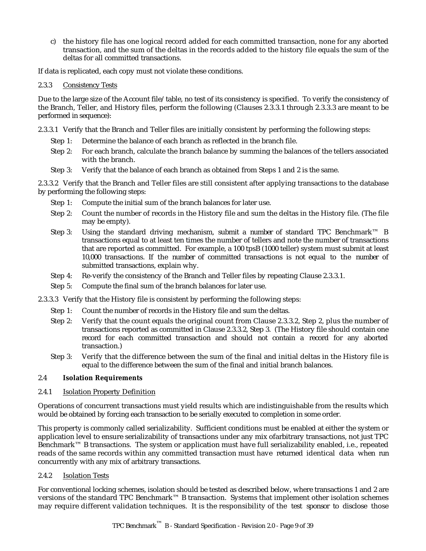c) the history file has one logical record added for each committed transaction, none for any aborted transaction, and the sum of the deltas in the records added to the history file equals the sum of the deltas for all committed transactions.

If data is replicated, each copy must not violate these conditions.

#### 2.3.3 Consistency Tests

 $\mathcal{L}$  to the large size of the count files norform the following (Clauses 2, 2, 2, 1 through 2, 2, 2, 2 are meant to be the Branch, Teller, and History files, perform the following (Clauses 2.3.3.3.3.3.3.3.3.3.3.3.3.3.3 are meant to be<br>norformed in coquence) performed in sequence):

2.3.3.1 Verify that the Branch and Teller files are initially consistent by performing the following steps:<br>Step 1: Determine the balance of each branch as reflected in the branch file.

- 
- Step 1: Determine the balance of each branch as reflected in the branch file.  $S_{\text{top}}$  2: For each balance of balance balance by summing the balances of the tellers associated
- with the branch. Step 3: Verify that the balance of each branch as obtained from Steps 1 and 2 is the same.

2.3.3.2 Verify that the Branch and Teller files are still consistent after applying transactions to the database by performing the following steps:<br>Step 1: Compute the initial sum of the branch balances for later use.

- 
- Step 1: Compute the initial sum of the branch balances for later use.  $S_{\text{C}}$   $\mu$   $\mu$   $\sigma$  and the number of records in the History file and sum the deltas in the History file. (The file may be empty).<br>Using the standard driving mechanism, submit a number of standard TPC Benchmark<sup>TM</sup> B
- Step 3: Using the standard driving mechanism, submit a number of standard TPC Benchmark<sup>™</sup> B transactions equal to at least ten times the number of tellers and note the number of transactions that are reported as committed. For example, a 100 tpsB (1000 teller) system must submit at least  $10,000$  transactions. If the number of committed transactions is not equal to the number of submitted transactions, explain why.
- Re-verify the consistency of the Branch and Teller files by repeating Clause 2.3.3.1. Step 4: Re-verify the consistency of the Branch and Teller files by repeating Clause 2.3.1.1.1.
- Step 5: Compute the final sum of the branch balances for later use.
- 2.3.3.3 Verify that the History file is consistent by performing the following steps:<br>Step 1: Count the number of records in the History file and sum the deltas.
	-
	- Step 2: Verify that the count equals the original count from Clause 2.3.3.2, Step 2, plus the number of transactions reported as committed in Clause 2.3.3.2, Step 3. (The History file should contain one  $t_{\text{non-} \text{non-} \text{non-} \text{non-} \text{non-} \text{non-} \text{non-} \text{non-} \text{non-} \text{non-} \text{non-} \text{non-} \text{non-} \text{non-} \text{non-} \text{non-} \text{non-} \text{non-} \text{non-} \text{non-} \text{non-} \text{non-} \text{non-} \text{non-} \text{non-} \text{non-} \text{non-} \text{non-} \text{non-} \text{non-} \text{non-} \text{non-} \text{non-} \text{non-} \text{non-} \text{non-} \text$ record for each committed transaction and should not contain a record for any aborted transaction.)<br>Verify that the difference between the sum of the final and initial deltas in the History file is
	- $S_{\text{c}}$  is  $\alpha$  and the difference between the sum of the final and initial hearch balances equal to the difference between the sum of the final and initial branch balances.

#### 2.4 **Isolation Requirements**

#### 2.4.1 Isolation Property Definition

 $\sigma$  practices of concurrent transactions must yield results which are indicated the completion in some order would be obtained by forcing each transaction to be serially executed to completion in some order.

This property is commonly called serializability. Sufficient conditions must be enabled at either the system or<br>application level to ensure serializability of transactions under any mix of arbitrary transactions, not just Benchmark<sup>TM</sup> B transactions. The system or application must have full serializability enabled, i.e., repeated reads of the same records within any committed transaction must have returned identical data when run reads of the same records within any committed transaction must have returned identical data when run<br>concurrently with any mix of arhitrary transactions concurrently with any mix of arbitrary transactions.

#### 2.4.2 Isolation Tests

For conventional locking schemes, isolation should be tested as described below, where transactions 1 and 2 are versions of the standard TPC Benchmark<sup>TM</sup> B transaction. Systems that implement other isolation schemes versions of the standard TPC Benchmark  $\mathbf{E}$  the standard TPC benchmark  $\mathbf{E}$  that is the set spansor to disclose those may require different validation techniques. It is the responsibility of the test sponsor to disclose those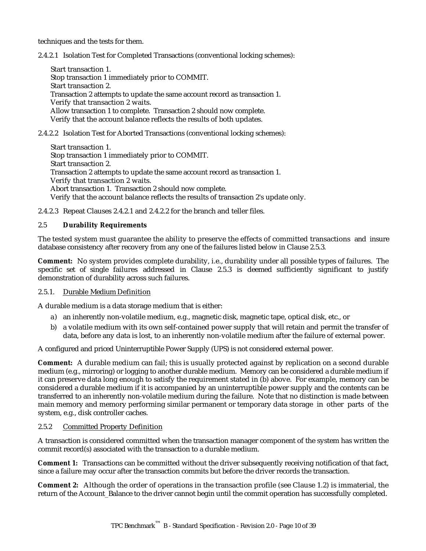techniques and the tests for them.

2.4.2.1 Isolation Test for Completed Transactions (conventional locking schemes):

Start transaction 1.<br>Stop transaction 1 immediately prior to COMMIT. Start transaction 2. Transaction 2 attempts to update the same account record as transaction 1. Verify that transaction 2 waits. Allow transaction 1 to complete. Transaction 2 should now complete. Allow transaction 1 to complete. Transaction 2 should now complete. Verify that the account balance reflects the results of both updates.

2.4.2.2 Isolation Test for Aborted Transactions (conventional locking schemes):

Start transaction 1.<br>Stop transaction 1 immediately prior to COMMIT. Start transaction 2. Transaction 2 attempts to update the same account record as transaction 1. Verify that transaction 2 waits. Abort transaction 1. Transaction 2 should now complete. Abort transaction 1. Transaction 2 should now complete. Verify that the account balance reflects the results of transaction 2's update only.

2.4.2.3 Repeat Clauses 2.4.2.1 and 2.4.2.2 for the branch and teller files.

#### 2.5 **Durability Requirements**

The tested system must guarantee the ability to preserve the effects of committee the system must guarantee the effects of  $\frac{1}{2}$ database consistency after recovery from any one of the failures listed below in Clause 2.5.3.

**Comment:** No system provides complete durability, i.e., durability under all possible types of failures. The specific set of single failures addressed in Clause 2.5.3 is deemed sufficiently significant to justify specific set of single failures addressed in Clause 2.5.3 deemed sufficiently significant to justify demonstration of durability across such failures.

#### 2.5.1. Durable Medium Definition

- A durable medium is a data storage medium that is either:<br>a) an inherently non-volatile medium, e.g., magnetic disk, magnetic tape, optical disk, etc., or
	- b) a volatile medium with its own self-contained power supply that will retain and permit the transfer of  $\mathbf{a}$  a volume medium with its own settlement power supply that will retain and permit the transfer on  $\mathbf{b}$  and  $\mathbf{b}$  and  $\mathbf{b}$  and  $\mathbf{b}$  and  $\mathbf{b}$  and  $\mathbf{b}$  and  $\mathbf{b}$  and  $\mathbf{b}$  and  $\mathbf{b}$  an data, before any data is lost, to an inherently non-volatile medium after the failure of external power.

A configured and priced Uninterruptible Power Supply (UPS) is not considered external power.

**Comment:** A durable medium can fail; this is usually protected against by replication on a second durable medium if  $\frac{1}{10}$  medium (e.g., mirroring) or logging to another durable medium. Memory can be considered a dura it can preserve data long enough to satisfy the requirement stated in (b) above. For example, memory can be considered a durable medium if it is accompanied by an uninterruptible power supply and the contents can be transferred to an inherently non-volatile medium during the failure. Note that no distinction is made between main memory and memory performing similar permanent or temporary data storage in other parts of the main memory and memory performing similar permanent or temporary data storage in other parts of the system, e.g., disk controller caches.

#### 2.5.2 Committed Property Definition

A transaction is considered committed when the transaction manager component of the system has written the commit record(s) associated with the transaction to a durable medium. commit record(s) associated with the transaction to a durable medium.

**Comment 1:** Transactions can be committed without the driver subsequently receiving notification of that fact, since a failure may occur after the transaction commits but before the driver records the transaction.

**Comment 2:** Although the order of operations in the transaction profile (see Clause 1.2) is immaterial, the return of the Account\_Balance to the driver cannot begin until the commit operation has successfully completed.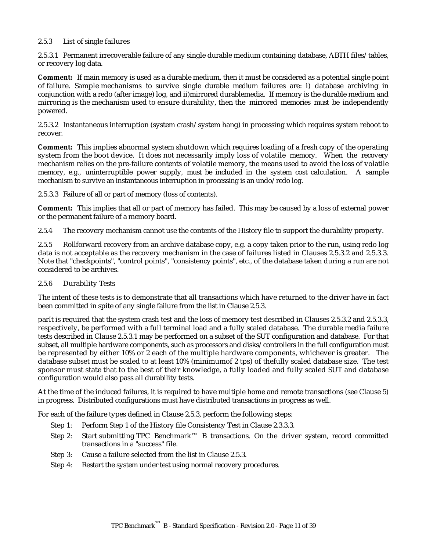#### 2.5.3 List of single failures

2.5.3.1 Permanent irrecoverable failure of any single durable medium containing database, ABTH files/tables, or recovery log data.

**Comment:** If main memory is used as a durable medium, then it must be considered as a potential single point conjunction with a redo (after image) log, and ii)mirrored durablemedia. If memory is the durable medium and conjunction with a redo (after image) log, and injunction and indicated memory is the durable medium and  $\eta$  mirrored memory is the durable medium and the durability then the distribution memory is the durable medium and mirroring is the mechanism used to ensure durability, then the mirrored memories must be independently powered.

2.5.3.2 Instantaneous interruption (system crash/system hang) in processing which requires system reboot to recover.

**Comment:** This implies abnormal system shutdown which requires loading of a fresh copy of the operating system from the boot device. It does not necessarily imply loss of volatile memory. When the recovery mechanism relies on the pre-failure contents of volatile memory, the means used to avoid the loss of volatile memory, e.g., uninterruptible power supply, must be included in the system cost calculation. A sample memory, uninterruption power supply, must be interpreted in the system cost calculation. A sample mechanism to survive an instantaneous interruption in processing is an undo/redo log.

2.5.3.3 Failure of all or part of memory (loss of contents).

**Comment:** This implies that all or part of memory has failed. This may be caused by a loss of external power or the permanent failure of a memory board.

2.5.4 The recovery mechanism cannot use the contents of the History file to support the durability property.

2.5.5 Rollforward recovery from an archive database copy, e.g. a copy taken prior to the run, using redo log data is not acceptable as the recovery mechanism in the case of failures listed in Clauses 2.5.3.2 and 2.5.3.3. Note that "checkpoints", "control points", "consistency points", etc., of the database taken during a run are not considered to be archives. considered to be archives.

#### 2.5.6 Durability Tests

The intent of these tests is to demonstrate that all transactions  $\frac{1}{2}$  for  $\frac{1}{2}$  for  $\frac{1}{2}$  for  $\frac{1}{2}$  for  $\frac{1}{2}$  for  $\frac{1}{2}$  for  $\frac{1}{2}$  for  $\frac{1}{2}$  for  $\frac{1}{2}$  for  $\frac{1}{2}$  for  $\frac{1}{2}$  for been committed in spite of any single failure from the list in Clause 2.5.3.

parIt is required that the system crash test and the loss of memory test described in Clauses 2.5.3.2 and 2.5.3.3, respectively, be performed with a full terminal load and a fully scaled database. The durable media failure tests described in Clause 2.5.3.1 may be performed on a subset of the SUT configuration and database. For that subset, all multiple hardware components, such as processors and disks/controllers in the full configuration must be represented by either 10% or 2 each of the multiple hardware components, whichever is greater. The database subset must be scaled to at least 10% (minimumof 2 tps) of the fully scaled database size. The test sponsor must state that to the best of their knowledge, a fully loaded and fully scaled SUT and database sponsor must state that to the best of them into wheage, a fully loaded and fully scaled SUT and database configuration would also pass all durability tests.

At the time of the induced failures in  $\mathbf{a}$  is required to have multiple home and remote the multiple  $\mathbf{a}$  is  $\mathbf{a}$  is  $\mathbf{a}$  is  $\mathbf{a}$  is  $\mathbf{a}$  is  $\mathbf{a}$  is  $\mathbf{a}$  is  $\mathbf{a}$  is  $\mathbf{a}$  is  $\mathbf{a}$ in progress. Distributed configurations must have distributed transactions in progress as well.

For each of the failure types defined in Clause 2.5.3, perform the following steps:<br>Step 1: Perform Step 1 of the History file Consistency Test in Clause 2.3.3.3.

- 
- $S_{\text{C}}$  2.  $S_{\text{C}}$  and  $S_{\text{C}}$  in  $\overline{S_{\text{C}}$  in  $S_{\text{C}}$  in  $\overline{S_{\text{C}}$  in  $S_{\text{C}}$  in  $S_{\text{C}}$ Step 2: Start submitting TPC Benchmark™ B transactions. On the driver system, record committed transactions in a "success" file.<br>Cause a failure selected from the list in Clause 2.5.3.
- 
- Step 3: Cause a failure selected from the list in Clause 2.5.3.3. Step 4: Restart the system under test using normal recovery procedures.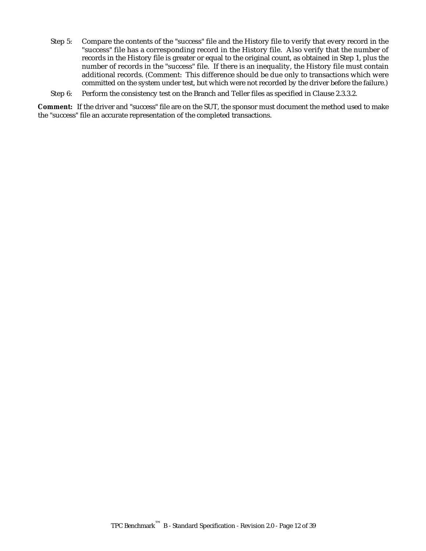- Step 5: Compare the contents of the "success" file and the History file to verify that every record in the records in the History file is greater or equal to the original count, as obtained in Step 1, plus the number of records in the "success" file. If there is an inequality, the History file must contain additional records. (Comment: This difference should be due only to transactions which were committed on the system under test, but which were not recorded by the driver before the failure.)
- committed on the system under test, but which were not recorded by the driver before the failure, Step 6: Perform the consistency test on the Branch and Teller files as specified in Clause 2.3.3.3.

**Comment:** If the driver and "success" file are on the SUT, the sponsor must document the method used to make the "success" file an accurate representation of the completed transactions.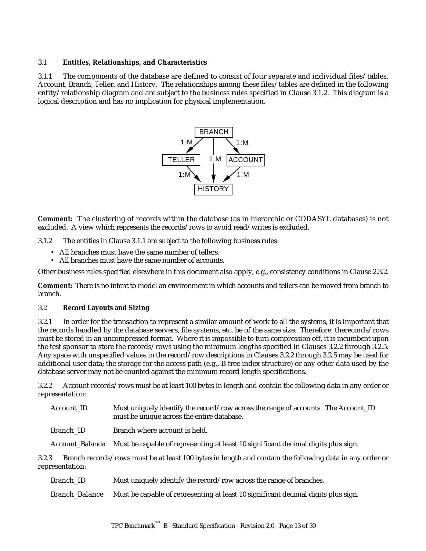#### 3.1 **Entities, Relationships, and Characteristics**

3.1.1 The components of the database are defined to consist of four separate and individual files/tables, entity/relationship diagram and are subject to the business rules specified in Clause 3.1.2. This diagram is a entity relationship diagram and are subject to the business rules specified in Clause 3.1.2. This diagram is a<br>logical description and has no implication for physical implementation logical description and has no implication for physical implementation.



**Comment:** The clustering of records within the database (as in hierarchic or CODASYL databases) is not excluded. A view which represents the records/rows to avoid read/writes is excluded.

3.1.2 The entities in Clause 3.1.1 are subject to the following business rules:<br>• All branches must have the same number of tellers.

- 
- All branches must have the same number of accounts. • All branches must have the same number of accounts.

Other business rules specified elsewhere in this document also apply, e.g., consistency conditions in Clause 2.3.2.

**Comment:** There is no intent to model an environment in which accounts and tellers can be moved from branch to branch.

#### 3.2 **Record Layouts and Sizing**

3.2.1 In order for the transaction to represent a similar amount of work to all the systems, it is important that the records handled by the database servers, file systems, etc. be of the same size. Therefore, therecords/r must be stored in an uncompressed format. Where it is impossible to turn compression off, it is incumbent upon the test sponsor to store the records/rows using the minimum lengths specified in Clauses 3.2.2 through 3.2.5. Any space with unspecified values in the record/row descriptions in Clauses 3.2.2 through 3.2.5 may be used for additional user data; the storage for the access path (e.g., B-tree index structure) or any other data used by the additional user data; the storage for the access path (e.g., B-tree index structure) or any other data used by the<br>database server may not be counted against the minimum record length specifications database server may not be counted against the minimum record length specifications.

3.2.2 Account records/rows must be at least 100 bytes in length and contain the following data in any order or representation:

| Account_ID               | Must uniquely identify the record/row across the range of accounts. The Account ID<br>must be unique across the entire database. |
|--------------------------|----------------------------------------------------------------------------------------------------------------------------------|
| Branch ID                | Branch where account is held.                                                                                                    |
|                          | Account_Balance Must be capable of representing at least 10 significant decimal digits plus sign.                                |
| 3.2.3<br>representation: | Branch records/rows must be at least 100 bytes in length and contain the following data in any order or                          |

Branch ID Must uniquely identify the record/row across the range of branches.

Branch Balance Must be capable of representing at least 10 significant decimal digits plus sign.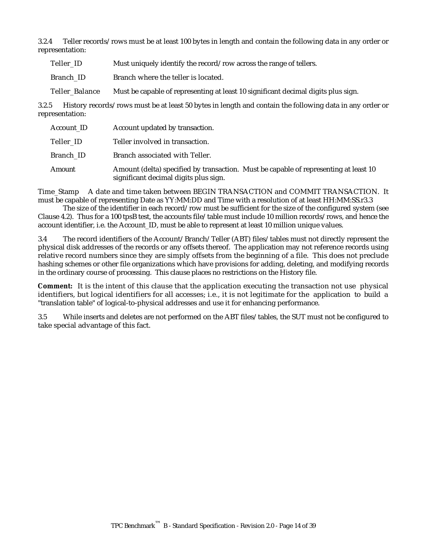3.2.4 Teller records/rows must be at least 100 bytes in length and contain the following data in any order or representation:

| Teller_ID      | Must uniquely identify the record/row across the range of tellers.                |
|----------------|-----------------------------------------------------------------------------------|
| Branch ID      | Branch where the teller is located.                                               |
| Teller Balance | Must be capable of representing at least 10 significant decimal digits plus sign. |

3.2.5 History records/rows must be at least 50 bytes in length and contain the following data in any order or representation:

| Account_ID | Account updated by transaction.                                                                                               |
|------------|-------------------------------------------------------------------------------------------------------------------------------|
| Teller ID  | Teller involved in transaction.                                                                                               |
| Branch ID  | Branch associated with Teller.                                                                                                |
| Amount     | Amount (delta) specified by transaction. Must be capable of representing at least 10<br>significant decimal digits plus sign. |

Time\_Stamp A date and time taken between BEGIN TRANSACTION and COMMIT TRANSACTION. It must be capable of representing Date as YY:MM:DD and Time with a resolution of at least HH:MM:SS.r3.3

The size of the identifier in each record/row must be sufficient for the size of the configured system (see Clause 4.2). Thus for a 100 tpsB test, the accounts file/table must include 10 million records/rows, and hence the Cause  $\alpha_{\rm B}$ . Thus for a 100 test, the accounts file must have must have must be approached to  $\alpha_{\rm B}$  include  $\alpha_{\rm B}$ account identifier, i.e. the Account\_ID, must be able to represent at least 10 million unique values.

3.4 The record identifiers of the Account/Branch/Teller (ABT) files/tables must not directly represent the physical disk addresses of the records or any offsets thereof. The application may not reference records using relative record numbers since they are simply offsets from the beginning of a file. This does not preclude hashing schemes or other file organizations which have provisions for adding, deleting, and modifying records hashing schemes or our other file organizations which have provided by a ding the state of the ordinary course of processing. This clause places no restrictions on the History file in the ordinary course of processing. This clause places no restrictions on the History file.

**Comment:** It is the intent of this clause that the application executing the transaction not use physical identifiers, but logical identifiers for all accesses; i.e., it is not legitimate for the application to build a identifiers, but logical identifiers for all accesses; i.e., it is not logical material accessive  $\frac{1}{2}$ "translation table" of logical-to-physical addresses and use it for enhancing performance.

3.5 While inserts and deletes are not performed on the ABT files/tables, the SUT must not be configured to take special advantage of this fact.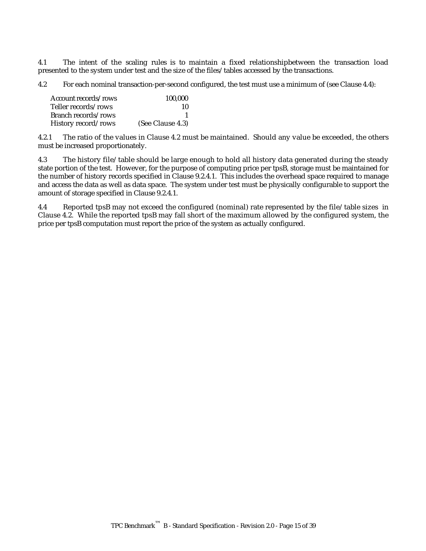$\frac{1}{100}$  The intent of the scaling rules is to maintain a fixed relationshippetween the transactions is to make the scaling  $\frac{1}{100}$  of the files  $\frac{1}{100}$  in the transactions. presented to the system under test and the size of the files/tables accessed by the transactions.

4.2 For each nominal transaction-per-second configured, the test must use a minimum of (see Clause 4.4):

| Account records/rows | 100.000          |
|----------------------|------------------|
| Teller records/rows  | 10               |
| Branch records/rows  |                  |
| History record/rows  | (See Clause 4.3) |
|                      |                  |

4.2.1 The ratio of the values in Clause 4.2 must be maintained. Should any value be exceeded, the others must be increased proportionately.

4.3 The history file/table should be large enough to hold all history data generated during the steady state portion of the test. However, for the purpose of computing price per tpsB, storage must be maintained for the number of history records specified in Clause 9.2.4.1. This includes the overhead space required to manage and access the data as well as data space. The system under test must be physically configurable to support the and access the data as well as a well as data space. The system under test must be physically comigurable to support the amount of storage specified in Clause 9.2.1.1.1.

4.4 Reported tpsB may not exceed the configured (nominal) rate represented by the file/table sizes in<br>Clause 4.2. While the reported tpsB may fall short of the maximum allowed by the configured system, the Cause  $\alpha$ . While the reported tpsB may fall short of the maximum allowed by the comfigured system, the price per tpsB computation must report the price of the system as actually configured.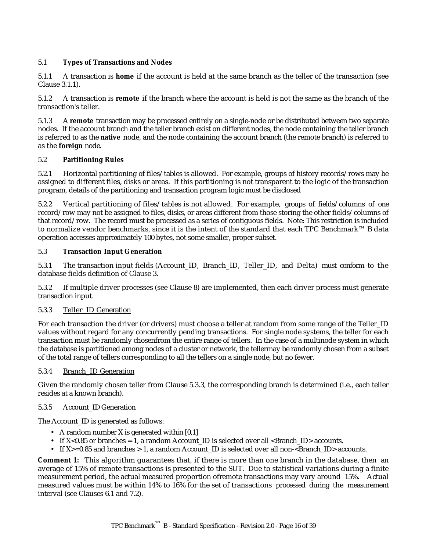#### 5.1 **Types of Transactions and Nodes**

5.1.1 A transaction is **home** if the account is held at the same branch as the teller of the transaction (see Clause 3.1.1).

5.1.2 A transaction is **remote** if the branch where the account is held is not the same as the branch of the transaction's teller.

5.1.3 <sup>A</sup>**remote** transaction may be processed entirely on a single-node or be distributed between two separate is referred to as the **native** node, and the node containing the account branch (the remote branch) is referred to<br>as the **foreign** node as the **foreign** node.

#### 5.2 **Partitioning Rules**

5.2.1 Horizontal partitioning of files/tables is allowed. For example, groups of history records/rows may be assigned to different files, disks or areas. If this partitioning  $\omega$  not transparent to the logic of the transaction program, details of the partitioning and transaction program logic must be disclosed

5.2.2 Vertical partitioning of files/tables is not allowed. For example, groups of fields/columns of one record/row may not be assigned to files, disks, or areas different from those storing the other fields/columns of that record/row. The record must be processed as a series of contiguous fields. Note: This restriction is included to normalize vendor benchmarks, since it is the intent of the standard that each TPC Benchmark<sup>TM</sup> B data  $t_{\rm{tot}}$  or  $\alpha$  and  $\alpha$  benchmarks, since it is the intent of the state data that each TPC Benchmark $\alpha$  and  $\alpha$ operation accesses approximately 100 bytes, not some smaller, proper subset.

#### 5.3 **Transaction Input Generation**

5.3.1 The transaction input fields (Account\_ID, Branch\_ID, Teller\_ID, and Delta) must conform to the database fields definition of Clause 3.

5.3.2 If multiple driver processes (see Clause 8) are implemented, then each driver process must generate transaction input.

#### 5.3.3 Teller\_ID Generation

For each transaction the driver (or drivers) must choose a teller at random from some range of the Teller\_ID values without regard for any concurrently pending transactions. For single node systems, the teller for each transaction must be randomly chosenfrom the entire range of tellers. In the case of a multinode system in which the database is partitioned among nodes of a cluster or network, the tellermay be randomly chosen from a subset the database is partitioned among nodes of a cluster or network, the tellermay be randomly chosen from a subset of the total range of tellers corresponding to all the tellers on a single node, but no fewer.

#### 5.3.4 Branch\_ID Generation

Given the randomly chosen teller from Clause 5.3.3, the corresponding branch is determined (i.e., each teller resides at a known branch).

#### 535 Account ID Generation

- The Account\_ID is generated as follows:<br>• A random number X is generated within [0,1]
	- If  $X < 0.85$  or branches = 1, a random Account ID is selected over all  $\langle$ Branch ID $\rangle$  accounts.
	- If  $X > = 0.85$  and branches  $> 1$ , a random Account ID is selected over all non- $\lt$ Branch ID $>$  accounts. • If X>=0.85 and branches > 1, a random Account\_ID is selected over all non-<Branch\_ID> accounts.

**Comment 1:** This algorithm guarantees that, if there is more than one branch in the database, then an average of 15% of remote transactions is presented to the SUT. Due to statistical variations during a finite measured values must be within  $14\%$  to  $16\%$  for the set of transactions moses deducing the measurement  $\frac{m}{\sqrt{2}}$  for  $\frac{m}{\sqrt{2}}$  for  $\frac{m}{\sqrt{2}}$  for  $\frac{m}{\sqrt{2}}$  for the set of transactions processed during the measurement interval (see Clauses 6.1 and 7.2).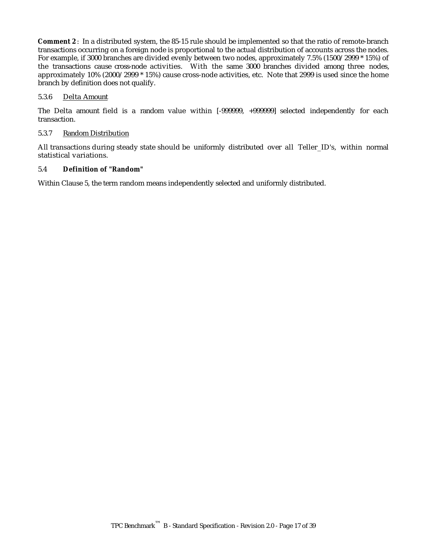**Comment 2** : In a distributed system, the 85-15 rule should be implemented so that the ratio of remote-branch transactions occurring on a foreign node is proportional to the actual distribution of accounts across the node For example, if 3000 branches are divided evenly between two nodes, approximately 7.5% (1500/2999  $*$  15%) of the transactions cause cross-node activities. With the same 3000 branches divided among three nodes, approximately 10% (2000/2999 \* 15%) cause cross-node activities, etc. Note that 2999 is used since the home approximately 10% (2000/2999) to 2000/2999 the second activities, etc. Note that 2000 is used since the home<br>homeh hy definition does not qualify branch by definition does not qualify.

#### 5.3.6 Delta Amount

The Delta amount field is a random value within [-999999, +999999] selected independently for each transaction.

#### 5.3.7 Random Distribution

All transactions during steady state should be uniformly distributed over all Teller\_ID's, within normal statistical variations.

#### 5.4 **Definition of "Random"**

Within Clause 5, the term random means independently selected and uniformly distributed.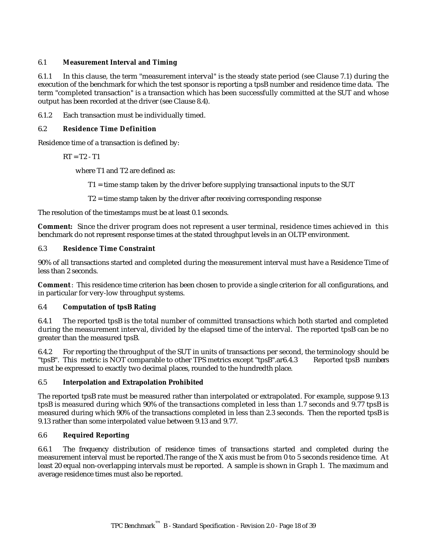#### 6.1 **Measurement Interval and Timing**

6.1.1 In this clause, the term "measurement interval" is the steady state period (see Clause 7.1) during the execution of the benchmark for which the test sponsor is reporting a tpsB number and residence time data. The term "completed transaction" is a transaction which has been successfully committed at the SUT and whose  $t_{\text{c}}$  term  $t_{\text{c}}$  transaction  $t_{\text{c}}$  transaction which has been successfully committed at the SUT and whose output has been recorded at the driver (see Clause 8.4).

6.1.2 Each transaction must be individually timed.

#### 6.2 **Residence Time Definition**

Residence time of a transaction is defined by:

 $RT = T2 - T1$  $R_{\text{R}}$   $\sim$   $R_{\text{R}}$ 

where T1 and T2 are defined as:

T1 = time stamp taken by the driver before supplying transactional inputs to the SUT

T2 = time stamp taken by the driver after receiving corresponding response

The resolution of the timestamps must be at least 0.1 seconds.

**Comment:** Since the driver program does not represent a user terminal, residence times achieved in this benchmark do not represent response times at the stated throughput levels in an OLTP environment.

#### 6.3 **Residence Time Constraint**

90% of all transactions started and completed during the measurement interval must have a Residence Time of less than 2 seconds.

**Comment**: This residence time criterion has been chosen to provide a single criterion for all configurations, and in particular for very-low throughput systems.

#### 6.4 **Computation of tpsB Rating**

 $\frac{d}{dt}$  the reported tpsB is the committee of committee the total number of the three completed transactions which both started transactions which both started transactions of the started transactions of the started tra during the measurement interval, divided by the elapsed time of the interval. The reported tpsB can be no greater than the measured tpsB.

6.4.2 For reporting the throughput of the SUT in units of transactions per second, the terminology should be "tpsB". This metric is NOT comparable to other TPS metrics except "tpsB".ar6.4.3 Reported tpsB numbers  $\frac{1}{\sqrt{2}}$ . This metric is  $\frac{1}{\sqrt{2}}$  are  $\frac{1}{\sqrt{2}}$ . This metric is  $\frac{1}{\sqrt{2}}$  are  $\frac{1}{\sqrt{2}}$ . This is not the other TPS numbers  $\frac{1}{\sqrt{2}}$  are  $\frac{1}{\sqrt{2}}$ . must be expressed to exactly two decimal places, rounded to the hundredth place.

#### 6.5 **Interpolation and Extrapolation Prohibited**

The reported tpsB rate must be measured rather than interpolated or extrapolated. For example, suppose 9.13 tpsB is measured during which 90% of the transactions completed in less than 1.7 seconds and 9.77 tpsB is measured during which 90% of the transactions completed in less than 2.3 seconds. Then the reported tpsB is  $\frac{1}{2}$  measured during which 90% of the transactions completed in less than 2.3 seconds. Then the reported tpsB is 9.13 rather than some interpolated value between 9.13 and 9.77.

#### 6.6 **Required Reporting**

6.6.1 The frequency distribution of residence times of transactions started and completed during the measurement interval must be reported. The range of the X axis must be from 0 to 5 seconds residence time. At  $\frac{1}{2}$  measurement interval must be reported. The range of the  $\frac{1}{2}$  axis must be reported. A semple is shown in Craph 1. The maximum and least 20 equal non-overlapping intervals must be reported. A sample is shown in Graph 1. The maximum and average residence times must also be reported.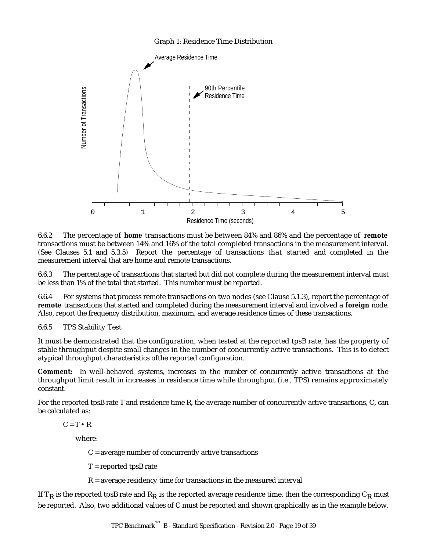#### Graph 1: Residence Time Distribution



6.6.2 The percentage of **home** transactions must be between 84% and 86% and the percentage of **remote** (See Clauses 5.1 and 5.3.5) Report the percentage of transactions that started and completed in the measurement interval that are home and remote transactions. measurement interval that are home and remote transactions.

 $\frac{6.5}{100}$  The percentage of transactions that started  $\frac{6.5}{100}$  is number must be reported be less than 1% of the total that started. This number must be reported.

664 remote transactions that started and completed during the measurement interval and involved a foreign node.<br>Also report the frequency distribution maximum and average residence times of these transactions. Also, report the frequency distribution, maximum, and average residence times of these transactions.

#### 6.6.5 TPS Stability Test

It must be demonstrated that the configuration, when tested at the reported tpsB rate, has the property of stable throughput despite small changes in the number of concurrently active transactions. This is to detect stable throughput despite small changes in the number of concurrently active transactions. This is to detect<br>atypical throughput characteristics of the reported configuration atypical throughput characteristics ofthe reported configuration.

**Comment:** In well-behaved systems, increases in the number of concurrently active transactions at the throughput limit result in increases in residence time while throughput (i.e., TPS) remains approximately constant.

For the reported tpsB rate T and residence time R, the average number of concurrently active transactions, C, can<br>be calculated as: be calculated as:

 $\sim$   $\sim$   $\sim$ 

where<sup>.</sup> where:

 $C =$  average number of concurrently active transactions

T = reported tpsB rate

 $R$  = average residency time for transactions in the measured interval

 $R$  is the reported tpsB rate and  $R$  is the reported average residence time, then the corresponding  $C_R$ If T<sub>R</sub> is the reported tpsB rate and R<sub>R</sub> is the reported average residence time, then the corresponding C<sub>R</sub> must be reported. Also, two additional values of C must be reported and shown graphically as in the example below.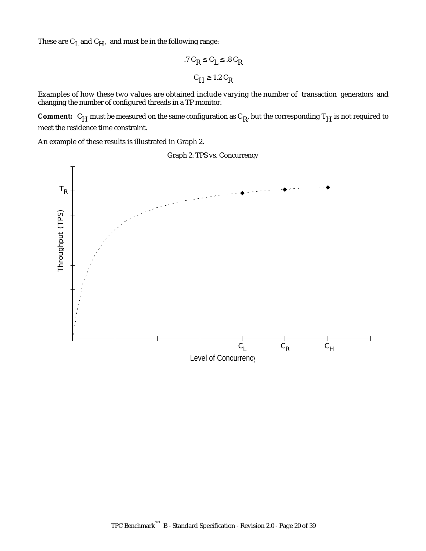These are  $C_L$  and  $C_H$ , and must be in the following range:

$$
7 C_R \le C_L \le .8 C_R
$$

$$
C_H \ge 1.2 C_R
$$

 $E_{\text{amplitude}}$  the movement of configural throads in a TP monitor changing the number of configured threads in a TP monitor.

**Comment:**  $\begin{array}{c} C_H \text{ must be measured on the same configuration as } C_R \text{, but the corresponding } T_H \text{ is not required to} \end{array}$ meet the residence time constraint.

An example of these results is illustrated in Graph 2.

Graph 2: TPS vs. Concurrency

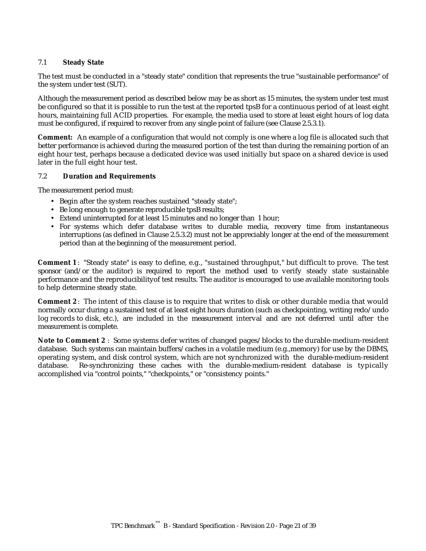#### 7.1 **Steady State**

The test must be conducted in a "steady state" condition that represents the true "sustainable performance" of the system under test (SUT).

Although the measurement period as described below may be as short as 15 minutes, the system under test must<br>be configured so that it is possible to run the test at the reported tpsB for a continuous period of at least eig hours, maintaining full ACID properties. For example, the media used to store at least eight hours of log data hours, maintaining function for expertisor. For example, the media point of follows  $(800 \text{ GHz})$  5.2.1) must be configured, if required to recover from any single point of failure (see Clause 2.5.3.1).

**Comment:** An example of a configuration that would not comply is one where a log file is allocated such that better performance is achieved during the measured portion of the test than during the remaining portion of an eight hour test, perhaps because a dedicated device was used initially but space on a shared device is used eight hour test, perhaps because a dedicated device was used initially but space on a shared device is used<br>Inform the full eight hour test later in the full eight hour test.

#### 7.2 **Duration and Requirements**

- The measurement period must:<br>• Begin after the system reaches sustained "steady state";
	- Be long enough to generate reproducible tpsB results;
	- Extend uninterrupted for at least 15 minutes and no longer than 1 hour;
	- For systems which defer database writes to durable media, recovery time from instantaneous interruptions (as defined in Clause 2.5.3.2) must not be appreciably longer at the end of the measurement interruptions (as defined in Clause 2.5.3.2) must not be appreciably longer at the end of the measurement period than at the beginning of the measurement period.

**Comment 1** : "Steady state" is easy to define, e.g., "sustained throughput," but difficult to prove. The test sponsor (and/or the auditor) is required to report the method used to verify steady state sustainable sponsor (and or the auditor) is required to report the method asset to report the method used  $\eta$  steady steady steady steady steady steady steady steady steady steady steady steady steady steady steady steady steady ste performance and the reproducibilityof test results. The auditor is encouraged to use available monitoring tools to help determine steady state.

**Comment 2** : The intent of this clause is to require that writes to disk or other durable media that would normally occur during a sustained test of at least eight hours duration (such as checkpointing, writing redo/undo normally occur during a sustained test of a sustained test of at least  $\frac{1}{2}$  and  $\frac{1}{2}$  and  $\frac{1}{2}$  and  $\frac{1}{2}$  and  $\frac{1}{2}$  and  $\frac{1}{2}$  and  $\frac{1}{2}$  and  $\frac{1}{2}$  and  $\frac{1}{2}$  and  $\frac{1}{2}$  and  $\frac{1}{2}$  log records to disk, etc.), are included in the measurement interval and are not deferred until after the measurement is complete.

Note to Comment 2 : Some systems defer writes of changed pages/blocks to the durable-medium-resident database. Such systems can maintain buffers/caches in a volatile medium (e.g., memory) for use by the DBMS, operating system, and disk control system, which are not synchronized with the durable-medium-resident  $database$ . Re-synchronizing these caches with the durable-medium-resident database is typically  $\frac{d}{dt}$  decomplished via "control points" "checkpoints" or "consistency points"  $\frac{d}{dt}$  calculation database is typically accomplished via "control points," "checkpoints," or "consistency points."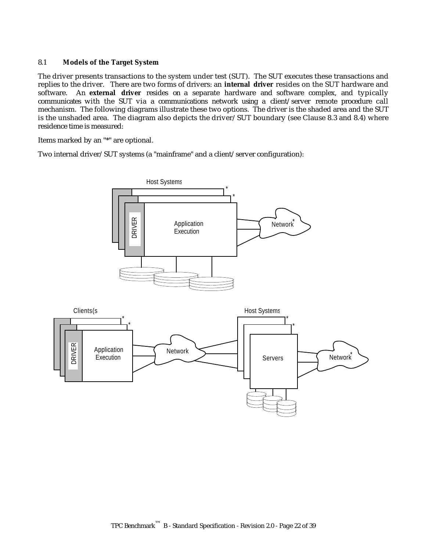#### 8.1 **Models of the Target System**

The driver presents transactions to the system under test (SUT). The SUT enterties these transactions and<br>replies to the driver. There are two forms of drivers: an **internal driver** resides on the SUT hardware and<br>software software. An **external driver** resides on a separate hardware and software complex, and typically communicates with the SUT via a communications network using a client/server remote procedure call mechanism. The following diagrams illustrate these two options. The driver is the shaded area and the SUT mechanism. The following diagrams inductively diagrams in  $\frac{1}{2}$  the under  $\frac{1}{2}$  of  $\frac{1}{2}$  and  $\frac{1}{2}$  and  $\frac{1}{2}$  and  $\frac{1}{2}$  where  $\frac{1}{100}$  reached area. The diagram also depicts the driver/SUT boundary (see Clause 8.3 and 8.4) where residence time is measured:

Items marked by an "\*" are optional.

Two internal driver/SUT systems (a "mainframe" and a client/server configuration):

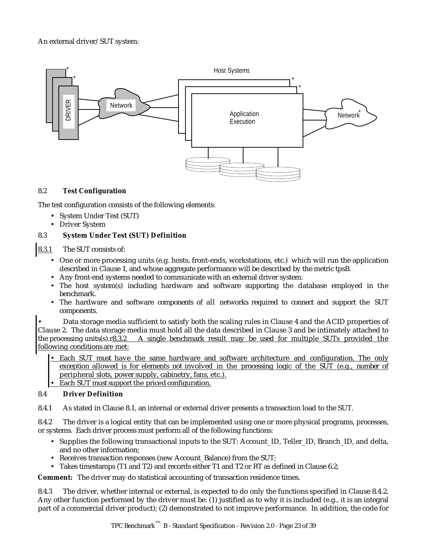

#### 8.2 **Test Configuration**

The test configuration consists of the following elements:<br>• System Under Test (SUT)

- 
- $\frac{1}{2}$  Driver System

#### • Driver System 8.3 **System Under Test (SUT) Definition**

- 8.3.1 The SUT consists of:<br>• One or more processing units (e.g. hosts, front-ends, workstations, etc.) which will run the application described in Clause 1, and whose aggregate performance will be described by the metric tpsB.
	- Any front-end systems needed to communicate with an external driver system.
	- The host systems needed to communicate with an external driver system. • The host system(s) including hardware and software supporting the database employed in the
	- benchmark.<br>The bardw • The hardware and software components of all networks required to connect and support the SUT components.<br>Data storage media sufficient to satisfy both the scaling rules in Clause 4 and the ACID properties of

Clause 2. The data storage media must hold all the data described in Clause 3 and be intimately attached to Clause 2. The data storage media must hold all the data described in Clause 3 and be intimately attached to  $\beta$  and be intimately attached to  $\beta$  and be intimately attached to  $\beta$  and be intimately attached to  $\beta$  and the processing units (s).r 8.3.2 A single benchmark result may be used for multiple SUTs provided the following conditions are met:<br>• Each SUT must have the same hardware and software architecture and configuration. The only

- exception allowed is for elements not involved in the processing logic of the SUT (e.g., number of peripheral slots, power supply, cabinetry, fans, etc.).
- peripheral slots, power supply, cabinetry, fails, etc.).  $\frac{1}{2}$  Each SUT must support the price d comparation.

#### 8.4 **Driver Definition**

8.4.1 As stated in Clause 8.1, an internal or external driver presents a transaction load to the SUT.

8.4.2 The driver is a logical entity that can be implemented using one or more physical programs, processes, or systems. Each driver process must perform all of the following functions: or systems. Each driver process must perform all of the following functions:

- $\omega$  place the following transactional inputs to the SUT:  $\omega$  and  $\omega$ , Teller<sub>i</sub>D, Branch\_ID, and delta,
- and no other information;<br>• Receives transaction responses (new Account\_Balance) from the SUT;
- These transaction responses (new Trees and Landmes) from the SUT;<br>• Takes timestamps (T1 and T9) and records either T1 and T9 or PT as d • Takes timestamps (T1 and T2) and records either T1 and T2 or RT as defined in Clause 6.2;

**Comment:** The driver may do statistical accounting of transaction residence times.

8.4.3 The driver, whether internal or external, is expected to do only the functions specified in Clause 8.4.2.<br>Any other function performed by the driver must be: (1) justified as to why it is included (e.g., it is an int Any other tunneless performed by the driver must be driver must be driver must be communicated (e.g., it is  $\alpha$ ) in  $\alpha$  is  $\alpha$ ) in  $\alpha$  is  $\alpha$  in  $\alpha$  in  $\alpha$  is an integral of  $\alpha$  in  $\alpha$  in  $\alpha$  is an integral of part of a commercial driver product); (2) demonstrated to not improve performance. In addition, the code for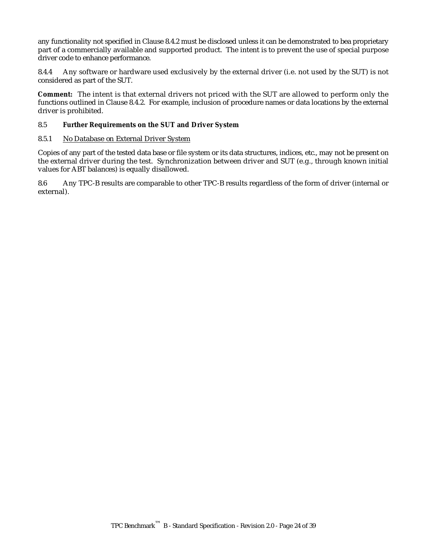any tunescentry functional in Clause 8.4.1.2 must be disclosed under the inconstruction of a commercially available and supported product. The intent is to provent the use of specific jumpers part of a commercially available and supported product. The intent is to prevent the use of special purpose driver code to enhance performance.

8.4.4 Any software or hardware used exclusively by the external driver (i.e. not used by the SUT) is not considered as part of the SUT.

**Comment:** The intent is that external drivers not priced with the SUT are allowed to perform only the functions outlined in Clause 8.4.2. For example, inclusion of procedure names or data locations by the external driver is prohibited.

#### 8.5 **Further Requirements on the SUT and Driver System**

#### 8.5.1 No Database on External Driver System

Copies of any part of the tested data base or file system or its data structures, indices, etc., may not be present on<br>the external driver during the test. Synchronization between driver and SUT (e.g., through known initia the external driver during the test. Synchronization between driver and SUT (e.g., through known initial values for TBT balances) is equally disallowed.

8.6 Any TPC-B results are comparable to other TPC-B results regardless of the form of driver (internal or external).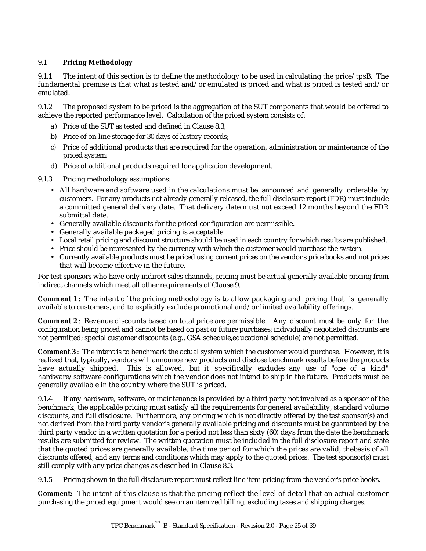#### 9.1 **Pricing Methodology**

 $\frac{1}{2}$ .1.1 The intent of this section is to define the methodology to be used in calculating the price/tpsB. The methodology to be used in calculation in calculation is the price/tpsB. The price/tpsB. The price/tpsB. T fundamental premise is that what is tested and/or emulated is priced and what is priced is tested and/or emulated.

 $912$  $\mathcal{S}_{\text{max}}$  The proposed system to be priced is the aggregation of the  $\mathcal{S}_{\text{max}}$  components that would be offered to achieve the reported performance level. Calculation of the priced system consists of:

- a) Price of the SUT as tested and defined in Clause 8.3;
- 
- b) Price of on-line storage for 30 days of history records; c) Price of additional products that are required for the operation, administration or maintenance or the price
- priced system; d) Price of additional products required for application development.
- 
- 9.1.3 Pricing methodology assumptions:<br>• All hardware and software used in the calculations must be announced and generally orderable by customers. For any products not already generally released, the full disclosure report (FDR) must include commutted general delivery date. That delivery date must not aveved 12 mentio hevend the FDR a committed general delivery date. That delivery date must not exceed 12 months beyond the FDR submittal date.<br>• Generally available discounts for the priced configuration are permissible.
	-
	- Generally available packaged pricing is acceptable.
	- Local retail pricing and discount structure should be used in each country for which results are published.
	- Price should be represented by the currency with which the customer would purchase the system.
- Currently available products must be priced using current prices on the vendor's price books and not prices<br>that will become effective in the future that will become effective in the future.<br>For test sponsors who have only indirect sales channels, pricing must be actual generally available pricing from

 $\mathbf{F}$  test sponsors who have only indirect sponsors which meats and  $\mathbf{F}$  and  $\mathbf{F}$  available pricing  $\mathbf{F}$  and  $\mathbf{F}$ indirect channels which meet all other requirements of Clause 9.

**Comment 1** : The intent of the pricing methodology is to allow packaging and pricing that is generally available to customers, and to explicitly exclude promotional and/or limited availability offerings.

**Comment 2**: Revenue discounts based on total price are permissible. Any discount must be only for the configuration being priced and cannot be based on past or future purchases; individually negotiated discounts are configuration being priced and cannot be based on past or future purchases; individually negotiated and  $\alpha$  purchases are  $\alpha$ not permitted; special customer discounts (e.g., GSA schedule,educational schedule) are not permitted.

**Comment 3** : The intent is to benchmark the actual system which the customer would purchase. However, it is realized that, typically, vendors will announce new products and disclose benchmark results before the products have actually shipped. This is allowed, but it specifically excludes any use of "one of a kind" hardware/software configurations which the vendor does not intend to ship in the future. Products must be hardware configurations which the vendor does not intend to ship in the future. Products must be dependent when the  $\text{SIF}$  is priced. generally available in the country where the SUT is priced.

9.1.4 If any hardware, software, or maintenance is provided by a third party not involved as a sponsor of the<br>benchmark, the applicable pricing must satisfy all the requirements for general availability, standard volume discounts, and full disclosure. Furthermore, any pricing which is not directly offered by the test sponsor(s) and not derived from the third party vendor's generally available pricing and discounts must be guaranteed by the<br>third party vendor in a written quotation for a poriod not less than sixty (60) days from the date the bonchmark third party vendor in a written quotation for a period not less than sixty (60) days from the date the benchmark<br>results are submitted for review. The written quotation must be included in the full disclosure report and st that the quoted prices are generally available, the time period for which the prices are valid, thebasis of all discounts offered, and any terms and conditions which may apply to the quoted prices. The test sponsor(s) must discounts offered, and any terms and conditions which may apply to the quoted prices. The test sponsor(s) must still comply with any price changes as described in Clause 8.3.

9.1.5 Pricing shown in the full disclosure report must reflect line item pricing from the vendor's price books.

**Comment:** The intent of this clause is that the pricing reflect the level of detail that an actual customer purchasing the priced equipment would see on an itemized billing, excluding taxes and shipping charges.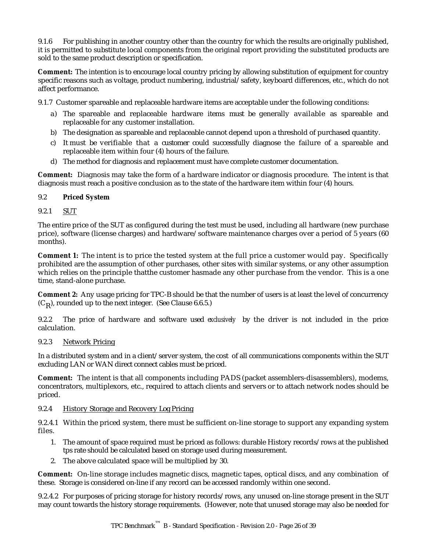9.1.6 For publishing in another country other than the country for which the results are originally published, it is permitted to substitute local components from the original report providing the substituted products are it is permitted to substitute local components from the original report providing the substituted products are sold to the same product description or specification.

**Comment:** The intention is to encourage local country pricing by allowing substitution of equipment for country specific reasons such as voltage, product numbering, industrial/safety, keyboard differences, etc., which do not affect performance.

9.1.7 Customer spareable and replaceable hardware items are acceptable under the following conditions:<br>a) The spareable and replaceable hardware items must be generally available as spareable and

- replaceable for any customer installation.
- b) The designation as spareable and replaceable cannot depend upon a threshold of purchased quantity.
- c) It must be verifiable that a customer could successfully diagnose the failure of a spareable and replaceable item within four (4) hours of the failure.
- replaceable item within four (4) hours of the failure. d) The method for diagnosis and replacement must have complete customer documentation.

**Comment:** Diagnosis may take the form of a hardware indicator or diagnosis procedure. The intent is that diagnosis must reach a positive conclusion as to the state of the hardware item within four (4) hours.

#### 9.2 **Priced System**

 $\frac{801}{201}$ 

The entire price of the SUT as configured during the test must be used, including the test must be used,  $\frac{1}{60}$ price), software (license charges) and hardware/software maintenance charges over a period of 5 years (60 months).

**Comment 1:** The intent is to price the tested system at the full price a customer would pay. Specifically prohibited are the assumption of other purchases, other sites with similar systems, or any other assumption promised are the assumption of other purchases, other purchases, or any other purchases with systems, or any other purchases  $\frac{1}{2}$  and  $\frac{1}{2}$  and  $\frac{1}{2}$  and  $\frac{1}{2}$  and  $\frac{1}{2}$  and  $\frac{1}{2}$  and  $\frac{1}{2}$  an which relies on the principle that the customer has made any other purchase from the vendor. This is a one time, stand-alone purchase.

**Comment 2:** Any usage pricing for TPC-B should be that the number of users is at least the level of concurrency  $(\mathcal{C}_K)$ , rounded up to the next integer. (See Clause 6.6.6.)

9.2.2 The price of hardware and software used *exclusively* by the driver is not included in the price calculation.

#### 9.2.3 Network Pricing

In a distribution and in a contract contract of  $\mathbf{S}$  and  $\mathbf{S}$  and  $\mathbf{S}$  are connected system, the SUT connected system, the SUT connected system, the SUT connected system in the system of  $\mathbf{S}$ excluding LAN or WAN direct connect cables must be priced.

**Comment:** The intent is that all components including PADS (packet assemblers-disassemblers), modems, concentrators, multiplexors, etc., required to attach clients and servers or to attach network nodes should be priced.

#### 9.2.4 History Storage and Recovery Log Pricing

9.2.4.1 Within the priced system, there must be sufficient on-line storage to support any expanding system

- files.<br>1. The amount of space required must be priced as follows: durable History records/rows at the published  $\frac{1}{100}$  the amount of space required must be priced as follows: during magnitude must be published in  $\frac{1}{1000}$  the rate chould be calculated has at the published as  $\frac{1}{1000}$ 
	- tps rate should be calculated based on storage used during measurement. 2. The above calculated space will be multiplied by 30.

**Comment:** On-line storage includes magnetic discs, magnetic tapes, optical discs, and any combination of these. Storage is considered on-line if any record can be accessed randomly within one second.

 $\frac{1}{2}$  For purposes of pricing storage for initially records. To write the history any unused of present in the SUTA storage present in the SUTA storage present in the SUTA storage present in the SUTA storage present i may count towards the history storage requirements. (However, note that unused storage may also be needed for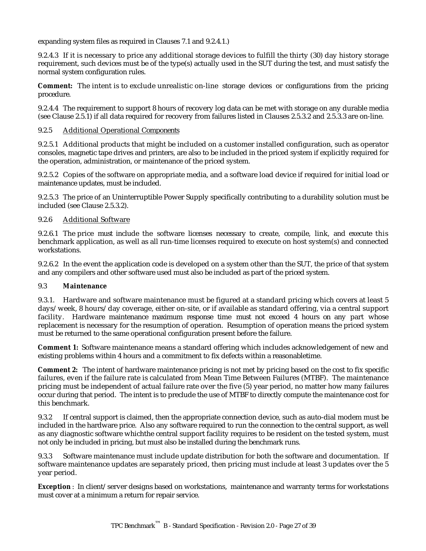expanding system files as required in Clauses 7.1 and 9.2.4.1.)

 $\frac{1}{2}$ .  $\frac{1}{2}$  is necessary to price any additional storage devices to call the third the total must still the thirdy head requirement, such devices must be of the type(s) actually used in the SUT during the test, and must satisfy the<br>normal system confidention rules normal system configuration rules.

**Comment:** The intent is to exclude unrealistic on-line storage devices or configurations from the pricing procedure.

 $\frac{1}{2}$ .4.4.4 The requirement to support 8 hours of recovery log data can be met with storage on any durable media (see Clause 2.5.1) if all data required for recovery from failures listed in Clauses 2.5.3.3.3.3 and 2.5.5.3 are on-line.

#### 9.2.5 Additional Operational Components

9.2.5.1 Additional products that might be included on a customer installed configuration, such as operator consoles, magnetic tape drives and printers, are also to be included in the priced system if explicitly required fo consoles, magnetic tape drives and printers, are also to be included in the priced system if explicitly required for<br>the operation administration or maintenance of the priced system the operation, administration, or maintenance of the priced system.

9.2.5.2 Copies of the software on appropriate media, and a software load device if required for initial load or maintenance updates, must be included.

9.2.5.3 The price of an Uninterruptible Power Supply specifically contributing to a durability solution must be included (see Clause 2.5.3.2).

#### 9.2.6 Additional Software

 $\epsilon$ <sub>2.6.2</sub>.6.1 The price must include the software licenses necessary to create, compile, and execute this dependent benchmark application, as well as all run-time licenses required to execute on host system(s) and connected workstations.

 $\frac{1}{2}$ . The event the approximation code is developed on a system on a system of the price of the price of the price of the price of the price of the price of the price of the price of the price of the price of the pri and any compilers and other software used must also be included as part of the priced system.

#### 9.3 **Maintenance**

9.3.1. Hardware and software maintenance must be figured at a standard pricing which covers at least 5<br>days/week, 8 hours/day coverage, either on-site, or if available as standard offering, via a central support facility. Hardware maintenance maximum response time must not exceed 4 hours on any part whose replacement is necessary for the resumption of operation. Resumption of operation means the priced system replacement is necessary for the resumption of operation. Resumption of operation means the priced system must be returned to the same operational configuration present before the failure.

**Comment 1:** Software maintenance means a standard offering which includes acknowledgement of new and existing problems within 4 hours and a commitment to fix defects within a reasonabletime.

**Comment 2:** The intent of hardware maintenance pricing is not met by pricing based on the cost to fix specific pricing must be independent of actual failure rate over the five (5) year period, no matter how many failures pricing must be independent of actual failure rate over the five (5) year period, no matter how many failures occur during that period. The intent is to preclude the use of MTBF to directly compute the maintenance cost for this benchmark.

9.3.2 If central support is claimed, then the appropriate connection device, such as auto-dial modem must be included in the hardware price. Also any software required to run the connection to the central support, as well as any diagnostic software whichthe central support facility requires to be resident on the tested system, must as any diagnostic software which the central support facility requires to be resident on the tested system, must not only be included in pricing, but must also be installed during the benchmark runs.

 $\frac{1}{2}$  so  $\frac{1}{2}$  software maintenance update are constraint include then pricing must include at least 3 updates ever the 5 software maintenance updates are separately priced, then pricing must include at least 3 updates over the 5 upda<br>Wear period year period.

**Exception** : In client/server designs based on workstations, maintenance and warranty terms for workstations must cover at a minimum a return for repair service.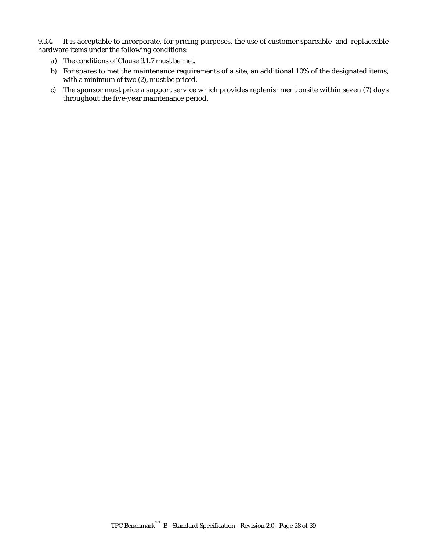9.3.4 It is acceptable to incorporate, for pricing purposes, the use of customer spareable and replaceable

- a) The conditions of Clause  $9.1.7$  must be met.
- b) For spares to met the maintenance requirements of a site, an additional 10% of the designated items, with a minimum of two (2), must be priced.
- c) The sponsor must price a support service which provides replenishment onsite within seven (7) days  $\epsilon$ ) The sponsor must price a support service which provides replendiment onsite within seven (7) days throughout the five-year maintenance period.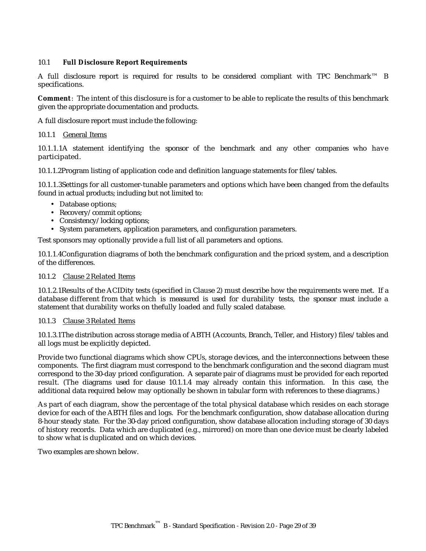#### 10.1 **Full Disclosure Report Requirements**

A full disclosure report is required for results to be considered compliant with TPC Benchmark™ B specifications.

**Comment**: The intent of this disclosure is for a customer to be able to replicate the results of this benchmark given the appropriate documentation and products.

A full disclosure report must include the following:

#### 10.1.1 General Items

10.1.1.1A statement identifying the sponsor of the benchmark and any other companies who have participated.

10.1.1.2Program listing of application code and definition language statements for files/tables.

10.1.1.3Settings for all customer-tunable parameters and options which have been changed from the defaults found in actual products; including but not limited to:

- 
- Database options;<br>• Recovery/commit options;
- Consistency/locking options;
- Consistency/locking options; • System parameters, application parameters, and configuration parameters.

Test sponsors may optionally provide a full list of all parameters and options.

10.1.1.4Configuration diagrams of both the benchmark configuration and the priced system, and a description of the differences.

#### 10.1.2 Clause 2 Related Items

10.1.2.1Results of the ACIDity tests (specified in Clause 2) must describe how the requirements were met. If a database different from the must include the measured is used for durability tests, the sponsor must include a<br>statement that durability works on thefully loaded and fully scaled database. statement that durability works on thefully loaded and fully scaled database.

#### 10.1.3 Clause 3 Related Items

10.1.3.1The distribution across storage media of ABTH (Accounts, Branch, Teller, and History) files/tables and all logs must be explicitly depicted.

Provide two functional diagrams which show CPUs, storage devices, and the interconnections between these<br>components. The first diagram must correspond to the benchmark configuration and the second diagram must correspond to the 30-day priced configuration. A separate pair of diagrams must be provided for each reported result. (The diagrams used for clause 10.1.1.4 may already contain this information. In this case, the result. (The diagrams used for clause 10.1.1.4 may already contain this information. In this case, the additional data required below may optionally be shown in tabular form with references to these diagrams.)

As part of each diagram, show the percentage of the total physical database which resides on each storage<br>device for each of the ABTH files and logs. For the benchmark configuration, show database allocation during 8-hour steady state. For the 30-day priced configuration, show database allocation including storage of 30 days of history records. Data which are duplicated (e.g., mirrored) on more than one device must be clearly labeled of history records. Data which are duplicated (e.g., mirrored) on more than one device must be clearly labeled to show what is duplicated and on which devices.

Two examples are shown below.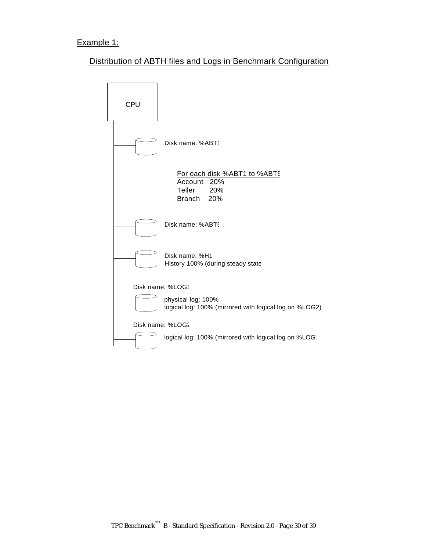#### Example 1:

#### Distribution of ABTH files and Logs in Benchmark Configuration

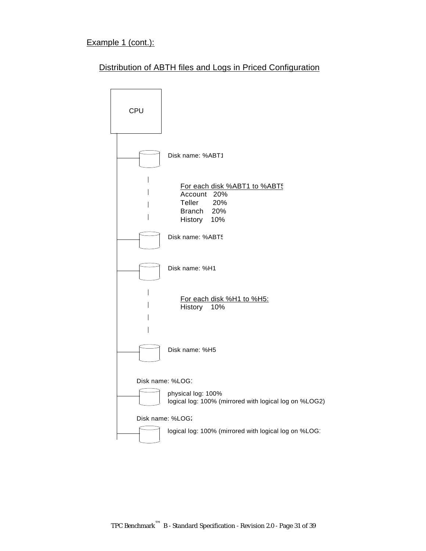### Example 1 (cont.):

### Distribution of ABTH files and Logs in Priced Configuration

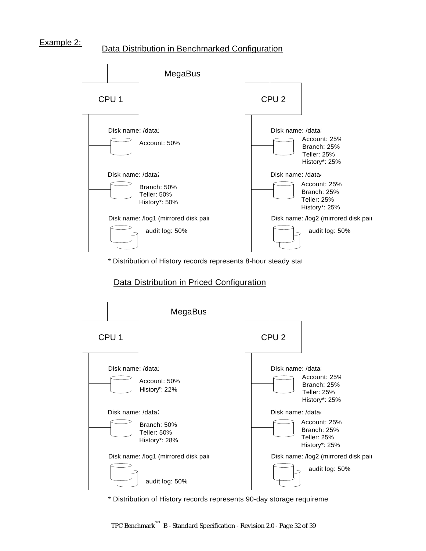#### Example 2:

Data Distribution in Benchmarked Configuration



\* Distribution of History records represents 8-hour steady stat

#### Data Distribution in Priced Configuration



\* Distribution of History records represents 90-day storage requireme

TPC Benchmark™ B - Standard Specification - Revision 2.0 - Page 32 of 39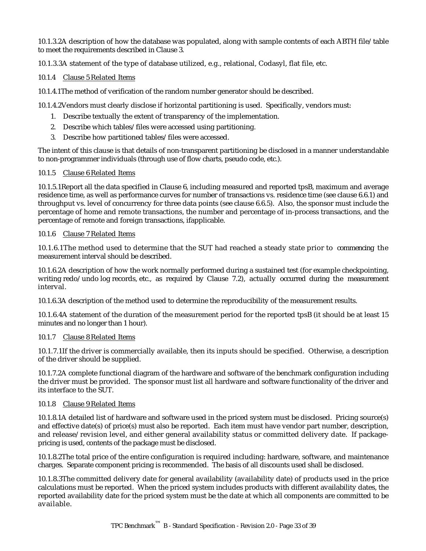10.1.3.2A description of how the database was populated, along with sample contents of each ABTH file/table to meet the requirements described in Clause 3.

10.1.3.3A statement of the type of database utilized, e.g., relational, Codasyl, flat file, etc.

#### 10.1.4 Clause 5 Related Items

10.1.4.1The method of verification of the random number generator should be described.

10.1.4.2Vendors must clearly disclose if horizontal partitioning is used. Specifically, vendors must:

- 
- 2. Describe which tables/files were accessed using partitioning.
- 2. Describe which tables/files were accessed using partitioning. 3. Describe how partitioned tables/files were accessed.

The intent of this clause is that details of non-transparent partitioning be disclosed in a manner understandable to non-programmer individuals (through use of flow charts, pseudo code, etc.).

#### 10.1.5 Clause 6 Related Items

10.1.5.1Report all the data specified in Clause 6, including measured and reported tpsB, maximum and average throughput vs. level of concurrency for three data points (see clause 6.6.5). Also, the sponsor must include the percentage of home and remote transactions, the number and percentage of in-process transactions, and the percentage of nome and remote transactions, the number and percentage of in-process transactions, and the number of remote and foreign transactions, if annihights percentage of remote and foreign transactions, ifapplicable.

#### 10.1.6 Clause 7 Related Items

10.1.1.1.1.1.6.1. Interior determine that the SUT had reached a steady state prior to commencing the measurement interval should be described.

 $10.101$  description of how the work normally performally performed during  $\frac{1}{2}$  and  $\frac{1}{2}$  and  $\frac{1}{2}$  and  $\frac{1}{2}$  and  $\frac{1}{2}$  and  $\frac{1}{2}$  and  $\frac{1}{2}$  and  $\frac{1}{2}$  and  $\frac{1}{2}$  and  $\frac{1}{2}$  and  $\frac{1}{$ writing redo/undo log records, etc., as required by Clause 7.2), actually occurred during the measurement interval.

10.1.6.3A description of the method used to determine the reproducibility of the measurement results.

10.1.1.6.4. A statement of the duration of the measurement period for the reported tpsB (it should be at least 15 minutes and no longer than 1 hour).

#### 10.1.7 Clause 8 Related Items

10.1.7.1If the driver is commercially available, then its inputs should be specified. Otherwise, a description of the driver should be supplied.

10.1.7.2A complete functional diagram of the hardware and software of the benchmark configuration including the driver must be provided. The sponsor must list all hardware and software functionality of the driver and It's interface to the SUT.

#### 10.1.8 Clause 9 Related Items

10.1.8.1A detailed list of hardware and software used in the priced system must be disclosed. Pricing source(s) and effective date(s) of price(s) must also be reported. Each item must have vendor part number, description, and release/revision level, and either general availability status or committed delivery date. If packageand receiver revision level, and either general availability status or committed delivery date. If package-<br>michael status or contants of the nockage-must be disclosed pricing is used, contents of the package must be disclosed.

 $10.11$ . State of the entire configuration is required in  $\frac{1}{2}$  and  $\frac{1}{2}$  and  $\frac{1}{2}$  and  $\frac{1}{2}$  and  $\frac{1}{2}$  and  $\frac{1}{2}$  and  $\frac{1}{2}$  and  $\frac{1}{2}$  and  $\frac{1}{2}$  and  $\frac{1}{2}$  and  $\frac{1}{2}$  and  $\frac{1}{2}$ charges. Separate component pricing is recommended. The basis of all discounts used shall be disclosed.

10.1.8.3The committed delivery date for general availability (availability date) of products used in the price<br>calculations must be reported. When the priced system includes products with different availability dates, the calculations must be reported. When the priced system includes products with different availability dates, the priced system must be the date at which all components are committed to be reported availability date for the priced system must be the date at which all components are committed to be avanasse.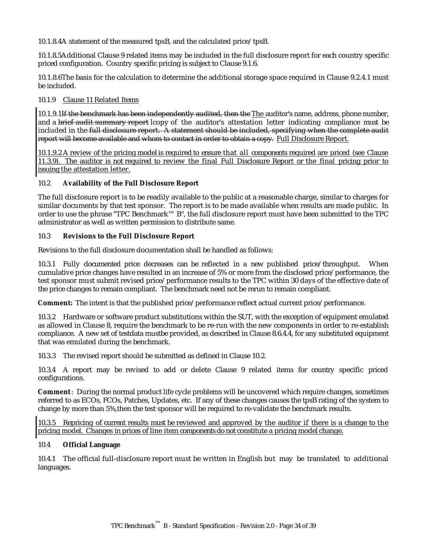10.1.8.4A statement of the measured tpsB, and the calculated price/tpsB.

 $10.10$ . Between  $\sigma$  relations  $\sigma$  relations may be included in the full disclosure report for each country specific priced configuration. Country specific pricing is subject to Clause 9.1.6.

10.1.8.6The basis for the calculation to determine the additional storage space required in Clause 9.2.4.1 must<br>be included be included.

#### 10.1.9 Clause 11 Related Items

10.1.9.1If the benchmark has been independently audited, then the The auditor's name, address, phone number, and a <del>brief audit summary report</del> lcopy of the auditor's attestation letter indicating compliance must be<br>included in the <del>full disclosure report. A statement should be included, specifying when the complete audit</del> included in the full disclosure report. A statement should be included, specifying when the complete audit report will become available and whom to contact in order to obtain a copy. <u>Full Disclosure Report.</u>

11.2.0). The auditor is not required to regions we can compute that components required are price  $\frac{1}{2}$ 11.000. The audio business and required to review the final Full Disclosure Report of the final priori group to issuing the attestation letter.

#### 10.2 **Availability of the Full Disclosure Report**

The full disclosure report is to be readily available to the public at a reasonable charge, similar to charges for<br>similar documents by that test sponsor. The report is to be made available when results are made public. In order to use the phrase "TPC Benchmark™ B", the full disclosure report must have been submitted to the TPC order to use the phrase "TPC Benchmark" B", the full disclosure report must have been submitted to the TPC disclosure report must have been submitted to the TPC administrator as well as written permission to distribute same.

#### 10.3 **Revisions to the Full Disclosure Report**

Revisions to the full disclosure documentation shall be handled as follows:

10.3.1 Fully documented price decreases can be reflected in a new published price/throughput. When cumulative price changes have resulted in an increase of 5% or more from the disclosed price/performance, the test sponsor must submit revised price/performance results to the TPC within 30 days of the effective date of  $t_{\text{obs}}$  sponsor must sometime represented price/performance results to the TPC within  $\epsilon$  and  $\epsilon$  and  $\epsilon$  and  $\epsilon$  and  $\epsilon$  the effective date of the effective date of the effective date of the effective date of the the price changes to remain compliant. The benchmark need not be rerun to remain compliant.

**Comment:** The intent is that the published price/performance reflect actual current price/performance.

10.3.2 Hardware or software product substitutions within the SUT, with the exception of equipment emulated as allowed in Clause 8, require the benchmark to be re-run with the new components in order to re-establish compliance. A new set of testdata mustbe provided, as described in Clause 8.6.4.4, for any substituted equipment that was emulated during the benchmark. that was emulated during the benchmark.

10.3.3 The revised report should be submitted as defined in Clause 10.2.

10.3.4 A report may be revised to add or delete Clause 9 related items for country specific priced configurations.

**Comment**: During the normal product life cycle problems will be uncovered which require changes, sometimes referred to as ECOs, FCOs, Patches, Updates, etc. If any of these changes causes the tpsB rating of the system to referred to as ECOs, FCOs, FCOs, FCOs, Patches, The the tpsB rating of the tpsB rating of the system to the tpsB rating of the system to the tpsB rating of the system to the system to the the the the the test cause of the change by more than 5%,then the test sponsor will be required to re-validate the benchmark results.

 $10.5$   $10.5$   $10.5$   $10.5$   $10.5$   $10.5$   $10.5$   $10.5$   $10.5$   $10.5$   $10.5$   $10.5$   $10.5$   $10.5$   $10.5$   $10.5$   $10.5$   $10.5$   $10.5$   $10.5$   $10.5$   $10.5$   $10.5$   $10.5$   $10.5$   $10.5$   $10.5$   $10.5$   $10.5$   $10.5$   $10.5$   $10.$ pricing model. Changes in prices of line item components do not constitute a pricing model change.

#### 10.4 **Official Language**

10.4.1 The official full-disclosure report must be written in English but may be translated to additional languages.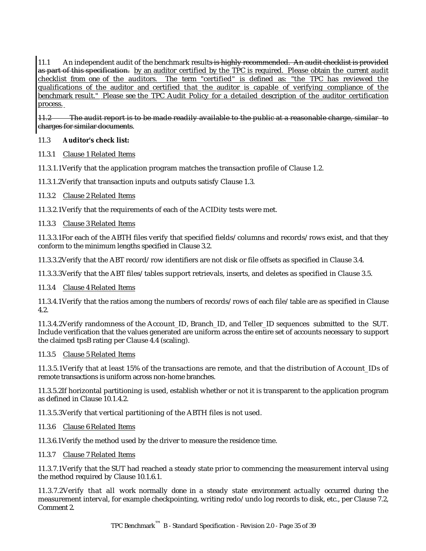11.1 An independent audit of the benchmark results is highly recommended. An audit checklist is provided<br>as part of this specification. by an auditor certified by the TPC is required. Please obtain the current audit checklist from one of the auditors. The term "certified" is defined as: "the TPC has reviewed the qualifications of the auditor and certified that the auditor is capable of verifying compliance of the  $\frac{1}{2}$  and certifications of the auditor and certification of the auditor certification benchmark result." Please see the TPC Audit Policy for a detailed description of the auditor certification process.

11.2 The audit report is to be made readily available to the public at a reasonable charge, similar to charges for similar documents.

#### 11.3 **Auditor's check list:**

- 11.3.1 Clause 1 Related Religion
- 11.3.1.1Verify that the application program matches the transaction profile of Clause 1.2.
- 11.3.1.2Verify that transaction inputs and outputs satisfy Clause 1.3.

#### 11.3.2 Clause 2 Related Items

11.3.2.1Verify that the requirements of each of the ACIDity tests were met.

#### 11.3.3 Clause 3 Related Items

11.3.3.1For each of the ABTH files verify that specified fields, columns and records, rows exist, and that they comont to the minimum lengths specified in Clause 3.2.

11.3.3.2Verify that the ABT record/row identifiers are not disk or file offsets as specified in Clause 3.4.

11.3.3.3Verify that the ABT files/tables support retrievals, inserts, and deletes as specified in Clause 3.5.

#### 11.3.4 Clause 4 Related Items

11.3.4.1Verify that the ratios among the numbers of records/rows of each file/table are as specified in Clause 4.2.

11.3.4.2Verify randomness of the Account\_ID, Branch\_ID, and Teller\_ID sequences submitted to the SUT. Include verification that the values generated are uniform across the entire set of accounts necessary to support the claimed tpsB rating per Clause 4.4 (scaling).

#### 11.3.5 Clause 5 Related Items

11.3.5.1Verify that at least 15% of the transactions are remote, and that the distribution of Account\_IDs of remote transactions is uniform across non-home branches.

11.3.5.2If horizontal partitioning is used, establish whether or not it is transparent to the application program<br>as defined in Clause 10.1.4.2. as defined in Clause 10.1.4.2.

11.3.5.3Verify that vertical partitioning of the ABTH files is not used.

#### 11.3.6 Clause 6 Related Items

11.3.6.1Verify the method used by the driver to measure the residence time.

#### 11.3.7 Clause 7 Related Items

11.3.7.1Verify that the SUT had reached a steady state prior to commencing the measurement interval using the method required by Clause 10.1.6.1.

 $11.37172$  and all work normally done in a steady state environment actually occurred and  $\frac{1}{2}$ ? measurement interval, for example checkpointing, writing redo/undo log records to disk, etc., per Clause 7.2,  $S<sub>1</sub>$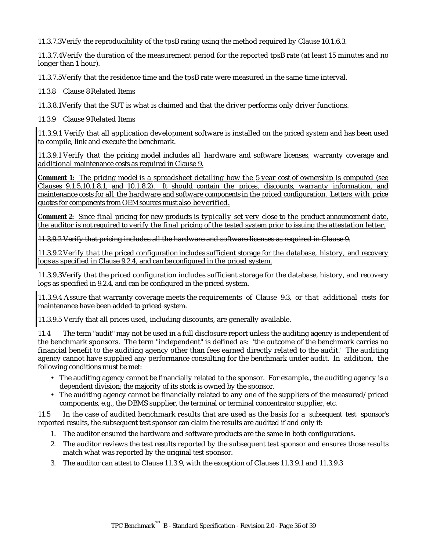11.3.7.3Verify the reproducibility of the tpsB rating using the method required by Clause 10.1.6.3.

11.3.7.4Verify the duration of the measurement period for the reported tpsB rate (at least 15 minutes and no longer than 1 hour).

11.3.7.5Verify that the residence time and the tpsB rate were measured in the same time interval.

#### 11.3.8 Clause 8 Related Items

11.3.8.1Verify that the SUT is what is claimed and that the driver performs only driver functions.

#### 11.3.9 Clause 9 Related Items

11.3.3.1 Verify that an application development software is installed on the priced system and has been used<br>to compile link and avecute the benchmark to compile, link and execute the benchmark.

 $\frac{1}{2}$ . 1.3.9.1  $\frac{1}{2}$  model includes all hardware all hardware and software licenses, warranty coverage and  $\frac{1}{2}$ additional maintenance costs as required in Clause 9.

**Comment 1:** The pricing model is a spreadsheet detailing how the 5 year cost of ownership is computed (see Clauses 9.1.5,10.1.8.1, and 10.1.8.2). It should contain the prices, discounts, warranty information, and maintenance costs for all the hardware and software components in the priced configuration. Letters with price maintenance costs for all the hardware and software components in the priced comparation. Letters with price quotes for components from OEM sources must also be verified.

 **Comment 2:** Since final pricing for new products is typically set very close to the product announcement date, the auditor is not required to verify the final pricing of the tested system prior to issuing the attestation letter.

11.3.9.2 Verify that pricing includes all the hardware and software licenses as required in Clause 9.

 $\frac{11.30 \text{ N}}{100 \text{ s}}$  includes the priced comparison includes sufficient storage for the database, includes  $\frac{1}{2}$  and recovery logs as specified in Clause 9.2.4, and can be configured in the priced system.

11.3.9.3.9.3 Verify that the priced configuration includes sufficient storage for the database, history, and recovery logs as specified in 9.2.4, and can be configured in the priced system.

11.3.9.4 Assure that warranty coverage meets the requirements of Clause 9.3, or that additional costs for maintenance have been added to priced system.

11.3.9.5 Verify that all prices used, including discounts, are generally available.

In the term "audit" may not be used in a full disclosure report unless the auditing agency is independent of<br>the benchmark sponsors. The term "independent" is defined as: 'the outcome of the benchmark carries no<br>financial financial benefit to the auditing agency other than fees earned directly related to the audit.' The auditing agency cannot have supplied any performance consulting for the benchmark under audit. In addition, the following conditions must be met:<br>• The auditing agency cannot be financially related to the sponsor. For example., the auditing agency is a

- dependent division; the majority of its stock is owned by the sponsor.
- The auditing agency cannot be financially related to any one of the suppliers of the measured/priced components, e.g., the DBMS supplier, the terminal or terminal concentrator supplier, etc. components, e.g., the DBMS supplier, the terminal or terminal concentrator supplier, etc.

11.5 In the case of audited benchmark results that are used as the basis for a subsequent test sponsor's<br>reported results, the subsequent test sponsor can claim the results are audited if and only if: reported results, the subsequent test sponsor can claim the results are audited if and only if:<br>1. The auditor ensured the hardware and software products are the same in both configurations.

- 
- 2. The auditor reviews the test results reported by the subsequent test sponsor and ensures those results match what was reported by the original test sponsor.
- match what was reported by the original test sponsor. 3. The auditor can attest to Clause 11.3.9, with the exception of Clauses 11.3.9.3.1 and 11.3.9.1 and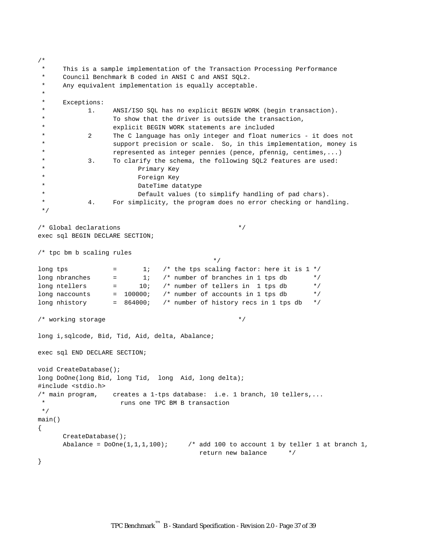```
/*
 * This is a sample implementation of the Transaction Processing Performance
     Council Benchmark B coded in ANSI C and ANSI SQL2.
 * Any equivalent implementation is equally acceptable.
  *
  * Exceptions:
  * 1. ANSI/ISO SQL has no explicit BEGIN WORK (begin transaction).
  * To show that the driver is outside the transaction,
  * explicit BEGIN WORK statements are included
  * 2 The C language has only integer and float numerics - it does not
  * support precision or scale. So, in this implementation, money is
  * represented as integer pennies (pence, pfennig, centimes,...)
  * 3. To clarify the schema, the following SQL2 features are used:
  * Primary Key
  * Foreign Key
  * DateTime datatype
  * Default values (to simplify handling of pad chars).
  * 4. For simplicity, the program does no error checking or handling.
 */
/* Global declarations */
exec sql BEGIN DECLARE SECTION;
/* tpc bm b scaling rules
                                       */
long tps = 1; \prime the tps scaling factor: here it is 1 \primelong nbranches = 1; /* number of branches in 1 tps db */long ntellers = 10; /* number of tellers in 1 tps db */long naccounts = 100000; /* number of accounts in 1 tps db */
long nhistory = 864000; /* number of history recs in 1 tps db */
/* working storage */
long i,sqlcode, Bid, Tid, Aid, delta, Abalance;
exec sql END DECLARE SECTION;
void CreateDatabase();
long DoOne(long Bid, long Tid, long Aid, long delta);
#include <stdio.h>
/* main program, creates a 1-tps database: i.e. 1 branch, 10 tellers,...
                  runs one TPC BM B transaction
 */
main()
{
     CreateDatabase();
     Abalance = D^{\text{one}}(1,1,1,100); /* add 100 to account 1 by teller 1 at branch 1,
                                    return new balance */
}
```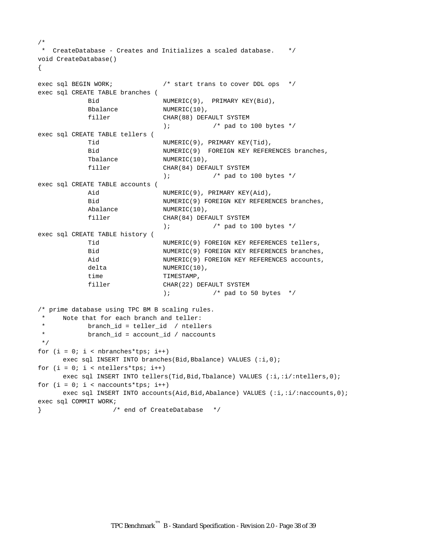```
/*
 * CreateDatabase - Creates and Initializes a scaled database. */
void CreateDatabase()
{
exec sql BEGIN WORK; \frac{1}{2} /* start trans to cover DDL ops */
exec sql CREATE TABLE branches (
           Bid NUMERIC(9), PRIMARY KEY(Bid),
           Bbalance NUMERIC(10),
           filler CHAR(88) DEFAULT SYSTEM
                           ); /* pad to 100 bytes */
exec sql CREATE TABLE tellers (
           Tid NUMERIC(9), PRIMARY KEY(Tid),
           Bid NUMERIC(9) FOREIGN KEY REFERENCES branches,
           Tbalance NUMERIC(10),
           filler CHAR(84) DEFAULT SYSTEM
                           ); /* pad to 100 bytes */
exec sql CREATE TABLE accounts (
          Aid NUMERIC(9), PRIMARY KEY(Aid),
           Bid NUMERIC(9) FOREIGN KEY REFERENCES branches,
           Abalance NUMERIC(10),
           filler CHAR(84) DEFAULT SYSTEM
                           ); /* pad to 100 bytes */
exec sql CREATE TABLE history (
           Tid NUMERIC(9) FOREIGN KEY REFERENCES tellers,
           Bid NUMERIC(9) FOREIGN KEY REFERENCES branches,
           Aid NUMERIC(9) FOREIGN KEY REFERENCES accounts,
           delta NUMERIC(10),
           time TIMESTAMP,
           filler CHAR(22) DEFAULT SYSTEM
                           ); /* pad to 50 bytes *//* prime database using TPC BM B scaling rules.
    Note that for each branch and teller:
 * branch_id = teller_id / ntellers
  * branch_id = account_id / naccounts
 */
for (i = 0; i <i>n</i> branches<sup>*</sup>tps; i++)exec sql INSERT INTO branches(Bid,Bbalance) VALUES (:i,0);
for (i = 0; i < ntellers*tps; i++)exec sql INSERT INTO tellers(Tid,Bid,Tbalance) VALUES (:i,:i/:ntellers,0);
for (i = 0; i < n accounts*tps; i++)exec sql INSERT INTO accounts(Aid,Bid,Abalance) VALUES (:i,:i/:naccounts,0);
exec sql COMMIT WORK;
} /* end of CreateDatabase */
```